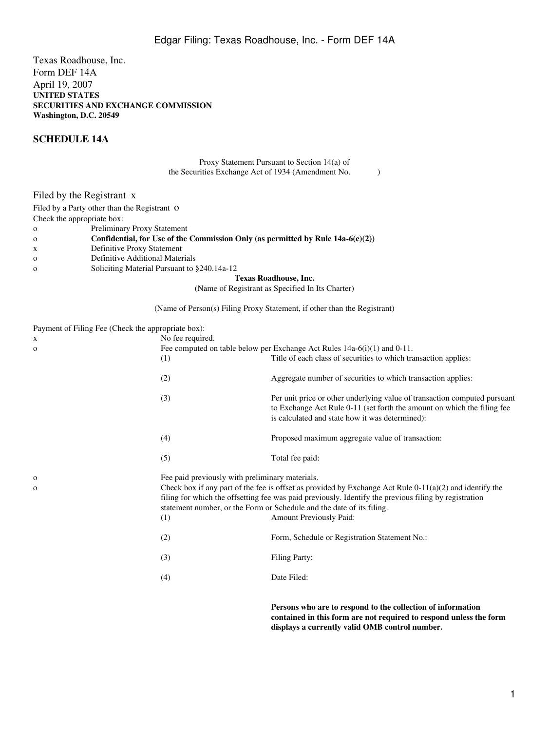Texas Roadhouse, Inc. Form DEF 14A April 19, 2007 **UNITED STATES SECURITIES AND EXCHANGE COMMISSION Washington, D.C. 20549**

## **SCHEDULE 14A**

Proxy Statement Pursuant to Section 14(a) of the Securities Exchange Act of 1934 (Amendment No. )

Filed by the Registrant x

Filed by a Party other than the Registrant O

Check the appropriate box:

- o Preliminary Proxy Statement
- o **Confidential, for Use of the Commission Only (as permitted by Rule 14a-6(e)(2))**
- x Definitive Proxy Statement
- o Definitive Additional Materials
- o Soliciting Material Pursuant to §240.14a-12

**Texas Roadhouse, Inc.**

(Name of Registrant as Specified In Its Charter)

(Name of Person(s) Filing Proxy Statement, if other than the Registrant)

Payment of Filing Fee (Check the appropriate box):

| X<br>0 | No fee required.<br>(1)                                | Fee computed on table below per Exchange Act Rules $14a-6(i)(1)$ and $0-11$ .<br>Title of each class of securities to which transaction applies:                                                                                                                                                                              |
|--------|--------------------------------------------------------|-------------------------------------------------------------------------------------------------------------------------------------------------------------------------------------------------------------------------------------------------------------------------------------------------------------------------------|
|        | (2)                                                    | Aggregate number of securities to which transaction applies:                                                                                                                                                                                                                                                                  |
|        | (3)                                                    | Per unit price or other underlying value of transaction computed pursuant<br>to Exchange Act Rule 0-11 (set forth the amount on which the filing fee<br>is calculated and state how it was determined):                                                                                                                       |
|        | (4)                                                    | Proposed maximum aggregate value of transaction:                                                                                                                                                                                                                                                                              |
|        | (5)                                                    | Total fee paid:                                                                                                                                                                                                                                                                                                               |
| O<br>0 | Fee paid previously with preliminary materials.<br>(1) | Check box if any part of the fee is offset as provided by Exchange Act Rule $0-11(a)(2)$ and identify the<br>filing for which the offsetting fee was paid previously. Identify the previous filing by registration<br>statement number, or the Form or Schedule and the date of its filing.<br><b>Amount Previously Paid:</b> |
|        | (2)                                                    | Form, Schedule or Registration Statement No.:                                                                                                                                                                                                                                                                                 |
|        | (3)                                                    | <b>Filing Party:</b>                                                                                                                                                                                                                                                                                                          |
|        | (4)                                                    | Date Filed:                                                                                                                                                                                                                                                                                                                   |
|        |                                                        |                                                                                                                                                                                                                                                                                                                               |

**Persons who are to respond to the collection of information contained in this form are not required to respond unless the form displays a currently valid OMB control number.**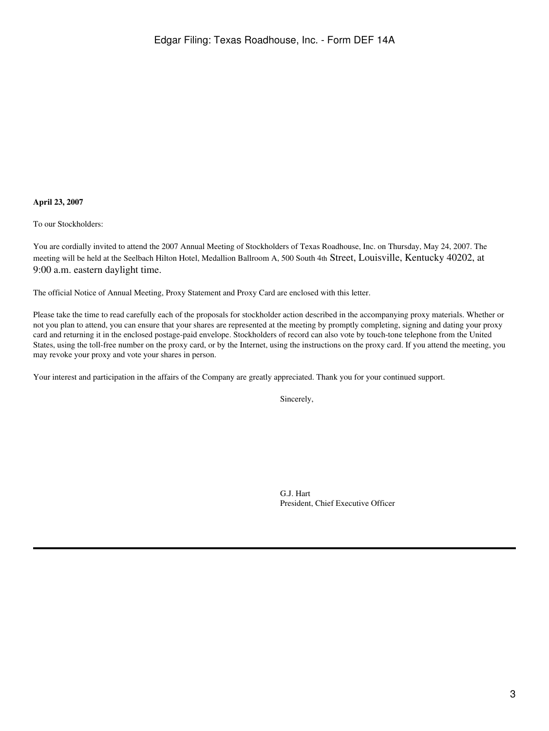### **April 23, 2007**

To our Stockholders:

You are cordially invited to attend the 2007 Annual Meeting of Stockholders of Texas Roadhouse, Inc. on Thursday, May 24, 2007. The meeting will be held at the Seelbach Hilton Hotel, Medallion Ballroom A, 500 South 4th Street, Louisville, Kentucky 40202, at 9:00 a.m. eastern daylight time.

The official Notice of Annual Meeting, Proxy Statement and Proxy Card are enclosed with this letter.

Please take the time to read carefully each of the proposals for stockholder action described in the accompanying proxy materials. Whether or not you plan to attend, you can ensure that your shares are represented at the meeting by promptly completing, signing and dating your proxy card and returning it in the enclosed postage-paid envelope. Stockholders of record can also vote by touch-tone telephone from the United States, using the toll-free number on the proxy card, or by the Internet, using the instructions on the proxy card. If you attend the meeting, you may revoke your proxy and vote your shares in person.

Your interest and participation in the affairs of the Company are greatly appreciated. Thank you for your continued support.

Sincerely,

G.J. Hart President, Chief Executive Officer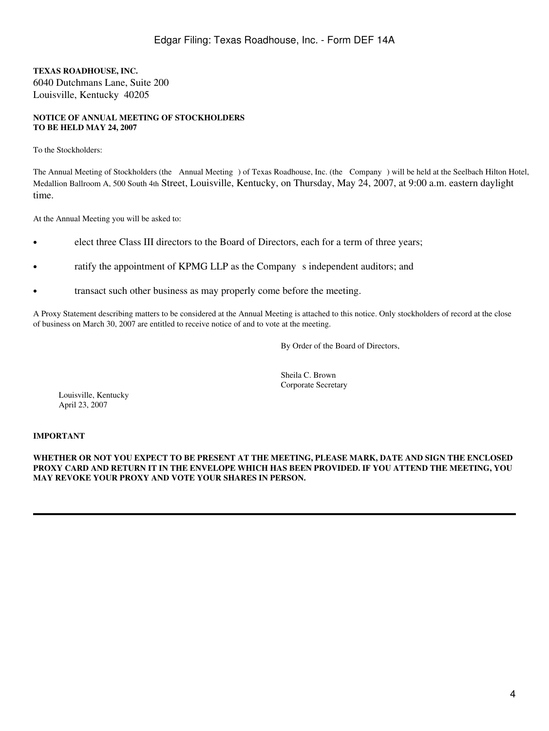**TEXAS ROADHOUSE, INC.** 6040 Dutchmans Lane, Suite 200 Louisville, Kentucky 40205

## **NOTICE OF ANNUAL MEETING OF STOCKHOLDERS TO BE HELD MAY 24, 2007**

To the Stockholders:

The Annual Meeting of Stockholders (the Annual Meeting) of Texas Roadhouse, Inc. (the Company) will be held at the Seelbach Hilton Hotel, Medallion Ballroom A, 500 South 4th Street, Louisville, Kentucky, on Thursday, May 24, 2007, at 9:00 a.m. eastern daylight time.

At the Annual Meeting you will be asked to:

- elect three Class III directors to the Board of Directors, each for a term of three years;
- ratify the appointment of KPMG LLP as the Company s independent auditors; and
- transact such other business as may properly come before the meeting.

A Proxy Statement describing matters to be considered at the Annual Meeting is attached to this notice. Only stockholders of record at the close of business on March 30, 2007 are entitled to receive notice of and to vote at the meeting.

By Order of the Board of Directors,

Sheila C. Brown Corporate Secretary

Louisville, Kentucky April 23, 2007

## **IMPORTANT**

### **WHETHER OR NOT YOU EXPECT TO BE PRESENT AT THE MEETING, PLEASE MARK, DATE AND SIGN THE ENCLOSED PROXY CARD AND RETURN IT IN THE ENVELOPE WHICH HAS BEEN PROVIDED. IF YOU ATTEND THE MEETING, YOU MAY REVOKE YOUR PROXY AND VOTE YOUR SHARES IN PERSON.**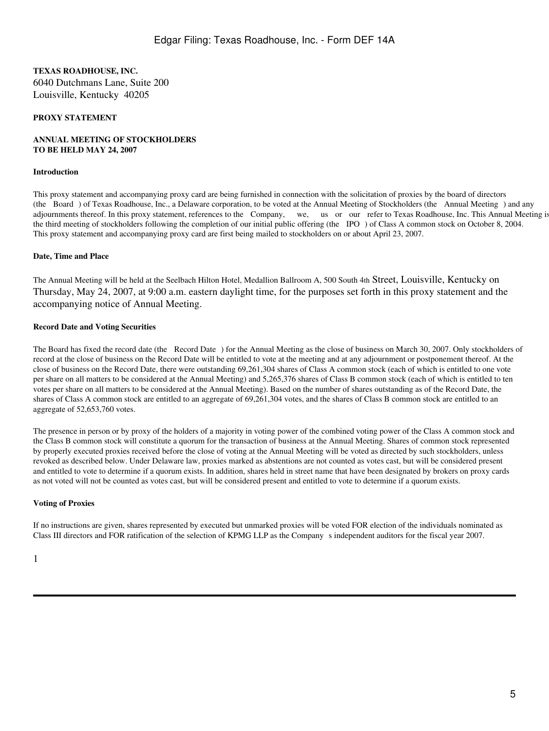## **TEXAS ROADHOUSE, INC.** 6040 Dutchmans Lane, Suite 200 Louisville, Kentucky 40205

### **PROXY STATEMENT**

#### **ANNUAL MEETING OF STOCKHOLDERS TO BE HELD MAY 24, 2007**

#### **Introduction**

This proxy statement and accompanying proxy card are being furnished in connection with the solicitation of proxies by the board of directors (the Board) of Texas Roadhouse, Inc., a Delaware corporation, to be voted at the Annual Meeting of Stockholders (the Annual Meeting) and any adjournments thereof. In this proxy statement, references to the Company, we, us or our refer to Texas Roadhouse, Inc. This Annual Meeting is the third meeting of stockholders following the completion of our initial public offering (the IPO) of Class A common stock on October 8, 2004. This proxy statement and accompanying proxy card are first being mailed to stockholders on or about April 23, 2007.

#### **Date, Time and Place**

The Annual Meeting will be held at the Seelbach Hilton Hotel, Medallion Ballroom A, 500 South 4th Street, Louisville, Kentucky on Thursday, May 24, 2007, at 9:00 a.m. eastern daylight time, for the purposes set forth in this proxy statement and the accompanying notice of Annual Meeting.

### **Record Date and Voting Securities**

The Board has fixed the record date (the Record Date) for the Annual Meeting as the close of business on March 30, 2007. Only stockholders of record at the close of business on the Record Date will be entitled to vote at the meeting and at any adjournment or postponement thereof. At the close of business on the Record Date, there were outstanding 69,261,304 shares of Class A common stock (each of which is entitled to one vote per share on all matters to be considered at the Annual Meeting) and 5,265,376 shares of Class B common stock (each of which is entitled to ten votes per share on all matters to be considered at the Annual Meeting). Based on the number of shares outstanding as of the Record Date, the shares of Class A common stock are entitled to an aggregate of 69,261,304 votes, and the shares of Class B common stock are entitled to an aggregate of 52,653,760 votes.

The presence in person or by proxy of the holders of a majority in voting power of the combined voting power of the Class A common stock and the Class B common stock will constitute a quorum for the transaction of business at the Annual Meeting. Shares of common stock represented by properly executed proxies received before the close of voting at the Annual Meeting will be voted as directed by such stockholders, unless revoked as described below. Under Delaware law, proxies marked as abstentions are not counted as votes cast, but will be considered present and entitled to vote to determine if a quorum exists. In addition, shares held in street name that have been designated by brokers on proxy cards as not voted will not be counted as votes cast, but will be considered present and entitled to vote to determine if a quorum exists.

#### **Voting of Proxies**

If no instructions are given, shares represented by executed but unmarked proxies will be voted FOR election of the individuals nominated as Class III directors and FOR ratification of the selection of KPMG LLP as the Company s independent auditors for the fiscal year 2007.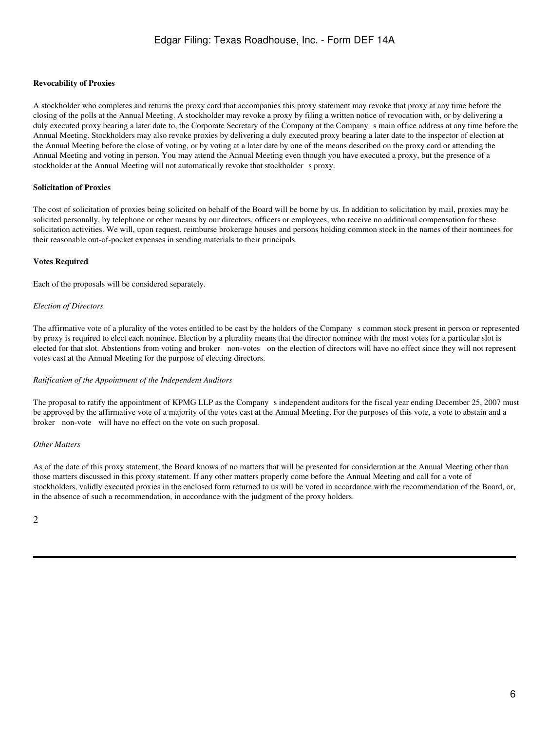#### **Revocability of Proxies**

A stockholder who completes and returns the proxy card that accompanies this proxy statement may revoke that proxy at any time before the closing of the polls at the Annual Meeting. A stockholder may revoke a proxy by filing a written notice of revocation with, or by delivering a duly executed proxy bearing a later date to, the Corporate Secretary of the Company at the Company s main office address at any time before the Annual Meeting. Stockholders may also revoke proxies by delivering a duly executed proxy bearing a later date to the inspector of election at the Annual Meeting before the close of voting, or by voting at a later date by one of the means described on the proxy card or attending the Annual Meeting and voting in person. You may attend the Annual Meeting even though you have executed a proxy, but the presence of a stockholder at the Annual Meeting will not automatically revoke that stockholder s proxy.

#### **Solicitation of Proxies**

The cost of solicitation of proxies being solicited on behalf of the Board will be borne by us. In addition to solicitation by mail, proxies may be solicited personally, by telephone or other means by our directors, officers or employees, who receive no additional compensation for these solicitation activities. We will, upon request, reimburse brokerage houses and persons holding common stock in the names of their nominees for their reasonable out-of-pocket expenses in sending materials to their principals.

### **Votes Required**

Each of the proposals will be considered separately.

#### *Election of Directors*

The affirmative vote of a plurality of the votes entitled to be cast by the holders of the Companys common stock present in person or represented by proxy is required to elect each nominee. Election by a plurality means that the director nominee with the most votes for a particular slot is elected for that slot. Abstentions from voting and broker non-votes on the election of directors will have no effect since they will not represent votes cast at the Annual Meeting for the purpose of electing directors.

#### *Ratification of the Appointment of the Independent Auditors*

The proposal to ratify the appointment of KPMG LLP as the Company s independent auditors for the fiscal year ending December 25, 2007 must be approved by the affirmative vote of a majority of the votes cast at the Annual Meeting. For the purposes of this vote, a vote to abstain and a broker non-vote will have no effect on the vote on such proposal.

#### *Other Matters*

As of the date of this proxy statement, the Board knows of no matters that will be presented for consideration at the Annual Meeting other than those matters discussed in this proxy statement. If any other matters properly come before the Annual Meeting and call for a vote of stockholders, validly executed proxies in the enclosed form returned to us will be voted in accordance with the recommendation of the Board, or, in the absence of such a recommendation, in accordance with the judgment of the proxy holders.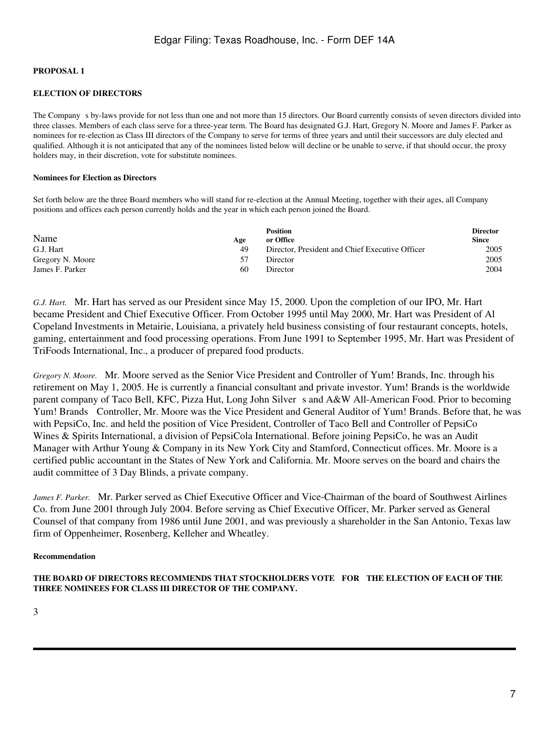## **PROPOSAL 1**

## **ELECTION OF DIRECTORS**

The Company s by-laws provide for not less than one and not more than 15 directors. Our Board currently consists of seven directors divided into three classes. Members of each class serve for a three-year term. The Board has designated G.J. Hart, Gregory N. Moore and James F. Parker as nominees for re-election as Class III directors of the Company to serve for terms of three years and until their successors are duly elected and qualified. Although it is not anticipated that any of the nominees listed below will decline or be unable to serve, if that should occur, the proxy holders may, in their discretion, vote for substitute nominees.

#### **Nominees for Election as Directors**

Set forth below are the three Board members who will stand for re-election at the Annual Meeting, together with their ages, all Company positions and offices each person currently holds and the year in which each person joined the Board.

| Name             | Age | <b>Position</b><br>or Office                    | <b>Director</b><br><b>Since</b> |
|------------------|-----|-------------------------------------------------|---------------------------------|
| G.J. Hart        | 49  | Director, President and Chief Executive Officer | 2005                            |
| Gregory N. Moore | 57  | Director                                        | 2005                            |
| James F. Parker  | -60 | Director                                        | 2004                            |

*G.J. Hart.* Mr. Hart has served as our President since May 15, 2000. Upon the completion of our IPO, Mr. Hart became President and Chief Executive Officer. From October 1995 until May 2000, Mr. Hart was President of Al Copeland Investments in Metairie, Louisiana, a privately held business consisting of four restaurant concepts, hotels, gaming, entertainment and food processing operations. From June 1991 to September 1995, Mr. Hart was President of TriFoods International, Inc., a producer of prepared food products.

*Gregory N. Moore.* Mr. Moore served as the Senior Vice President and Controller of Yum! Brands, Inc. through his retirement on May 1, 2005. He is currently a financial consultant and private investor. Yum! Brands is the worldwide parent company of Taco Bell, KFC, Pizza Hut, Long John Silvers and A&W All-American Food. Prior to becoming Yum! Brands Controller, Mr. Moore was the Vice President and General Auditor of Yum! Brands. Before that, he was with PepsiCo, Inc. and held the position of Vice President, Controller of Taco Bell and Controller of PepsiCo Wines & Spirits International, a division of PepsiCola International. Before joining PepsiCo, he was an Audit Manager with Arthur Young & Company in its New York City and Stamford, Connecticut offices. Mr. Moore is a certified public accountant in the States of New York and California. Mr. Moore serves on the board and chairs the audit committee of 3 Day Blinds, a private company.

*James F. Parker.* Mr. Parker served as Chief Executive Officer and Vice-Chairman of the board of Southwest Airlines Co. from June 2001 through July 2004. Before serving as Chief Executive Officer, Mr. Parker served as General Counsel of that company from 1986 until June 2001, and was previously a shareholder in the San Antonio, Texas law firm of Oppenheimer, Rosenberg, Kelleher and Wheatley.

#### **Recommendation**

**THE BOARD OF DIRECTORS RECOMMENDS THAT STOCKHOLDERS VOTE FOR THE ELECTION OF EACH OF THE THREE NOMINEES FOR CLASS III DIRECTOR OF THE COMPANY.**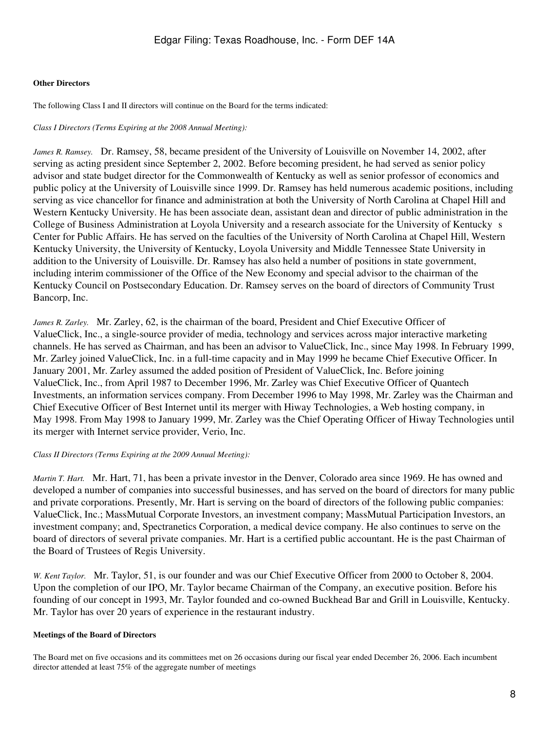## **Other Directors**

The following Class I and II directors will continue on the Board for the terms indicated:

## *Class I Directors (Terms Expiring at the 2008 Annual Meeting):*

*James R. Ramsey.* Dr. Ramsey, 58, became president of the University of Louisville on November 14, 2002, after serving as acting president since September 2, 2002. Before becoming president, he had served as senior policy advisor and state budget director for the Commonwealth of Kentucky as well as senior professor of economics and public policy at the University of Louisville since 1999. Dr. Ramsey has held numerous academic positions, including serving as vice chancellor for finance and administration at both the University of North Carolina at Chapel Hill and Western Kentucky University. He has been associate dean, assistant dean and director of public administration in the College of Business Administration at Loyola University and a research associate for the University of Kentucky s Center for Public Affairs. He has served on the faculties of the University of North Carolina at Chapel Hill, Western Kentucky University, the University of Kentucky, Loyola University and Middle Tennessee State University in addition to the University of Louisville. Dr. Ramsey has also held a number of positions in state government, including interim commissioner of the Office of the New Economy and special advisor to the chairman of the Kentucky Council on Postsecondary Education. Dr. Ramsey serves on the board of directors of Community Trust Bancorp, Inc.

*James R. Zarley.* Mr. Zarley, 62, is the chairman of the board, President and Chief Executive Officer of ValueClick, Inc., a single-source provider of media, technology and services across major interactive marketing channels. He has served as Chairman, and has been an advisor to ValueClick, Inc., since May 1998. In February 1999, Mr. Zarley joined ValueClick, Inc. in a full-time capacity and in May 1999 he became Chief Executive Officer. In January 2001, Mr. Zarley assumed the added position of President of ValueClick, Inc. Before joining ValueClick, Inc., from April 1987 to December 1996, Mr. Zarley was Chief Executive Officer of Quantech Investments, an information services company. From December 1996 to May 1998, Mr. Zarley was the Chairman and Chief Executive Officer of Best Internet until its merger with Hiway Technologies, a Web hosting company, in May 1998. From May 1998 to January 1999, Mr. Zarley was the Chief Operating Officer of Hiway Technologies until its merger with Internet service provider, Verio, Inc.

## *Class II Directors (Terms Expiring at the 2009 Annual Meeting):*

*Martin T. Hart.* Mr. Hart, 71, has been a private investor in the Denver, Colorado area since 1969. He has owned and developed a number of companies into successful businesses, and has served on the board of directors for many public and private corporations. Presently, Mr. Hart is serving on the board of directors of the following public companies: ValueClick, Inc.; MassMutual Corporate Investors, an investment company; MassMutual Participation Investors, an investment company; and, Spectranetics Corporation, a medical device company. He also continues to serve on the board of directors of several private companies. Mr. Hart is a certified public accountant. He is the past Chairman of the Board of Trustees of Regis University.

*W. Kent Taylor.* Mr. Taylor, 51, is our founder and was our Chief Executive Officer from 2000 to October 8, 2004. Upon the completion of our IPO, Mr. Taylor became Chairman of the Company, an executive position. Before his founding of our concept in 1993, Mr. Taylor founded and co-owned Buckhead Bar and Grill in Louisville, Kentucky. Mr. Taylor has over 20 years of experience in the restaurant industry.

## **Meetings of the Board of Directors**

The Board met on five occasions and its committees met on 26 occasions during our fiscal year ended December 26, 2006. Each incumbent director attended at least 75% of the aggregate number of meetings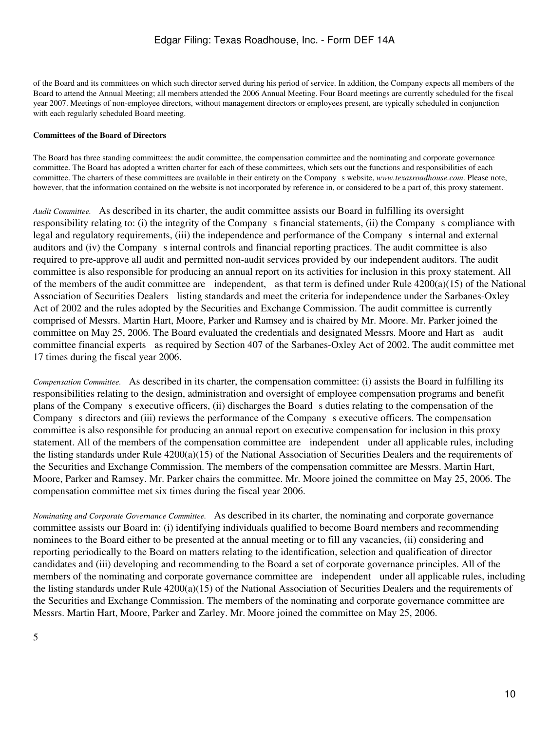of the Board and its committees on which such director served during his period of service. In addition, the Company expects all members of the Board to attend the Annual Meeting; all members attended the 2006 Annual Meeting. Four Board meetings are currently scheduled for the fiscal year 2007. Meetings of non-employee directors, without management directors or employees present, are typically scheduled in conjunction with each regularly scheduled Board meeting.

### **Committees of the Board of Directors**

The Board has three standing committees: the audit committee, the compensation committee and the nominating and corporate governance committee. The Board has adopted a written charter for each of these committees, which sets out the functions and responsibilities of each committee. The charters of these committees are available in their entirety on the Companys website, *www.texasroadhouse.com*. Please note, however, that the information contained on the website is not incorporated by reference in, or considered to be a part of, this proxy statement.

*Audit Committee.* As described in its charter, the audit committee assists our Board in fulfilling its oversight responsibility relating to: (i) the integrity of the Company s financial statements, (ii) the Company s compliance with legal and regulatory requirements, (iii) the independence and performance of the Company s internal and external auditors and (iv) the Company s internal controls and financial reporting practices. The audit committee is also required to pre-approve all audit and permitted non-audit services provided by our independent auditors. The audit committee is also responsible for producing an annual report on its activities for inclusion in this proxy statement. All of the members of the audit committee are independent, as that term is defined under Rule 4200(a)(15) of the National Association of Securities Dealers listing standards and meet the criteria for independence under the Sarbanes-Oxley Act of 2002 and the rules adopted by the Securities and Exchange Commission. The audit committee is currently comprised of Messrs. Martin Hart, Moore, Parker and Ramsey and is chaired by Mr. Moore. Mr. Parker joined the committee on May 25, 2006. The Board evaluated the credentials and designated Messrs. Moore and Hart as audit committee financial experts as required by Section 407 of the Sarbanes-Oxley Act of 2002. The audit committee met 17 times during the fiscal year 2006.

*Compensation Committee.* As described in its charter, the compensation committee: (i) assists the Board in fulfilling its responsibilities relating to the design, administration and oversight of employee compensation programs and benefit plans of the Company s executive officers, (ii) discharges the Board s duties relating to the compensation of the Company s directors and (iii) reviews the performance of the Company s executive officers. The compensation committee is also responsible for producing an annual report on executive compensation for inclusion in this proxy statement. All of the members of the compensation committee are independent under all applicable rules, including the listing standards under Rule 4200(a)(15) of the National Association of Securities Dealers and the requirements of the Securities and Exchange Commission. The members of the compensation committee are Messrs. Martin Hart, Moore, Parker and Ramsey. Mr. Parker chairs the committee. Mr. Moore joined the committee on May 25, 2006. The compensation committee met six times during the fiscal year 2006.

*Nominating and Corporate Governance Committee.* As described in its charter, the nominating and corporate governance committee assists our Board in: (i) identifying individuals qualified to become Board members and recommending nominees to the Board either to be presented at the annual meeting or to fill any vacancies, (ii) considering and reporting periodically to the Board on matters relating to the identification, selection and qualification of director candidates and (iii) developing and recommending to the Board a set of corporate governance principles. All of the members of the nominating and corporate governance committee are independent under all applicable rules, including the listing standards under Rule 4200(a)(15) of the National Association of Securities Dealers and the requirements of the Securities and Exchange Commission. The members of the nominating and corporate governance committee are Messrs. Martin Hart, Moore, Parker and Zarley. Mr. Moore joined the committee on May 25, 2006.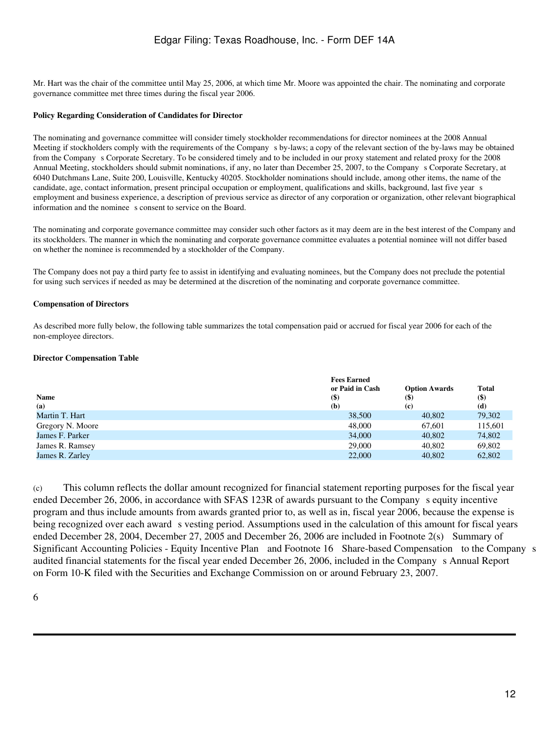Mr. Hart was the chair of the committee until May 25, 2006, at which time Mr. Moore was appointed the chair. The nominating and corporate governance committee met three times during the fiscal year 2006.

#### **Policy Regarding Consideration of Candidates for Director**

The nominating and governance committee will consider timely stockholder recommendations for director nominees at the 2008 Annual Meeting if stockholders comply with the requirements of the Company s by-laws; a copy of the relevant section of the by-laws may be obtained from the Companys Corporate Secretary. To be considered timely and to be included in our proxy statement and related proxy for the 2008 Annual Meeting, stockholders should submit nominations, if any, no later than December 25, 2007, to the Companys Corporate Secretary, at 6040 Dutchmans Lane, Suite 200, Louisville, Kentucky 40205. Stockholder nominations should include, among other items, the name of the candidate, age, contact information, present principal occupation or employment, qualifications and skills, background, last five year s employment and business experience, a description of previous service as director of any corporation or organization, other relevant biographical information and the nominee s consent to service on the Board.

The nominating and corporate governance committee may consider such other factors as it may deem are in the best interest of the Company and its stockholders. The manner in which the nominating and corporate governance committee evaluates a potential nominee will not differ based on whether the nominee is recommended by a stockholder of the Company.

The Company does not pay a third party fee to assist in identifying and evaluating nominees, but the Company does not preclude the potential for using such services if needed as may be determined at the discretion of the nominating and corporate governance committee.

#### **Compensation of Directors**

As described more fully below, the following table summarizes the total compensation paid or accrued for fiscal year 2006 for each of the non-employee directors.

#### **Director Compensation Table**

|                  | <b>Fees Earned</b> |                      |              |
|------------------|--------------------|----------------------|--------------|
|                  | or Paid in Cash    | <b>Option Awards</b> | <b>Total</b> |
| <b>Name</b>      | <b>(\$)</b>        | $($ \$)              | $($ \$       |
| (a)              | (b)                | (c)                  | (d)          |
| Martin T. Hart   | 38,500             | 40,802               | 79,302       |
| Gregory N. Moore | 48,000             | 67,601               | 115,601      |
| James F. Parker  | 34,000             | 40,802               | 74,802       |
| James R. Ramsey  | 29,000             | 40,802               | 69,802       |
| James R. Zarley  | 22,000             | 40,802               | 62,802       |

(c) This column reflects the dollar amount recognized for financial statement reporting purposes for the fiscal year ended December 26, 2006, in accordance with SFAS 123R of awards pursuant to the Company s equity incentive program and thus include amounts from awards granted prior to, as well as in, fiscal year 2006, because the expense is being recognized over each award s vesting period. Assumptions used in the calculation of this amount for fiscal years ended December 28, 2004, December 27, 2005 and December 26, 2006 are included in Footnote 2(s) Summary of Significant Accounting Policies - Equity Incentive Plan and Footnote 16 Share-based Compensation to the Companys audited financial statements for the fiscal year ended December 26, 2006, included in the Companys Annual Report on Form 10-K filed with the Securities and Exchange Commission on or around February 23, 2007.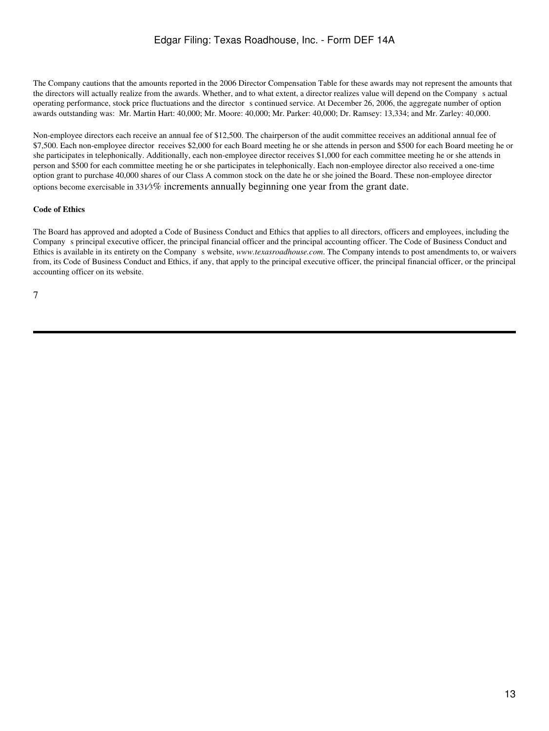The Company cautions that the amounts reported in the 2006 Director Compensation Table for these awards may not represent the amounts that the directors will actually realize from the awards. Whether, and to what extent, a director realizes value will depend on the Companys actual operating performance, stock price fluctuations and the director s continued service. At December 26, 2006, the aggregate number of option awards outstanding was: Mr. Martin Hart: 40,000; Mr. Moore: 40,000; Mr. Parker: 40,000; Dr. Ramsey: 13,334; and Mr. Zarley: 40,000.

Non-employee directors each receive an annual fee of \$12,500. The chairperson of the audit committee receives an additional annual fee of \$7,500. Each non-employee director receives \$2,000 for each Board meeting he or she attends in person and \$500 for each Board meeting he or she participates in telephonically. Additionally, each non-employee director receives \$1,000 for each committee meeting he or she attends in person and \$500 for each committee meeting he or she participates in telephonically. Each non-employee director also received a one-time option grant to purchase 40,000 shares of our Class A common stock on the date he or she joined the Board. These non-employee director options become exercisable in 331⁄3% increments annually beginning one year from the grant date.

### **Code of Ethics**

The Board has approved and adopted a Code of Business Conduct and Ethics that applies to all directors, officers and employees, including the Companys principal executive officer, the principal financial officer and the principal accounting officer. The Code of Business Conduct and Ethics is available in its entirety on the Companys website, *www.texasroadhouse.com*. The Company intends to post amendments to, or waivers from, its Code of Business Conduct and Ethics, if any, that apply to the principal executive officer, the principal financial officer, or the principal accounting officer on its website.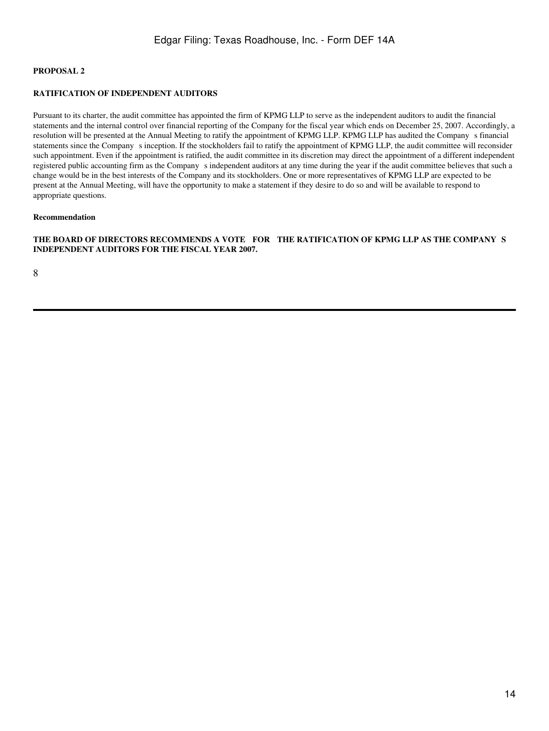## **PROPOSAL 2**

### **RATIFICATION OF INDEPENDENT AUDITORS**

Pursuant to its charter, the audit committee has appointed the firm of KPMG LLP to serve as the independent auditors to audit the financial statements and the internal control over financial reporting of the Company for the fiscal year which ends on December 25, 2007. Accordingly, a resolution will be presented at the Annual Meeting to ratify the appointment of KPMG LLP. KPMG LLP has audited the Companys financial statements since the Companys inception. If the stockholders fail to ratify the appointment of KPMG LLP, the audit committee will reconsider such appointment. Even if the appointment is ratified, the audit committee in its discretion may direct the appointment of a different independent registered public accounting firm as the Companys independent auditors at any time during the year if the audit committee believes that such a change would be in the best interests of the Company and its stockholders. One or more representatives of KPMG LLP are expected to be present at the Annual Meeting, will have the opportunity to make a statement if they desire to do so and will be available to respond to appropriate questions.

#### **Recommendation**

**THE BOARD OF DIRECTORS RECOMMENDS A VOTE FOR THE RATIFICATION OF KPMG LLP AS THE COMPANYS INDEPENDENT AUDITORS FOR THE FISCAL YEAR 2007.**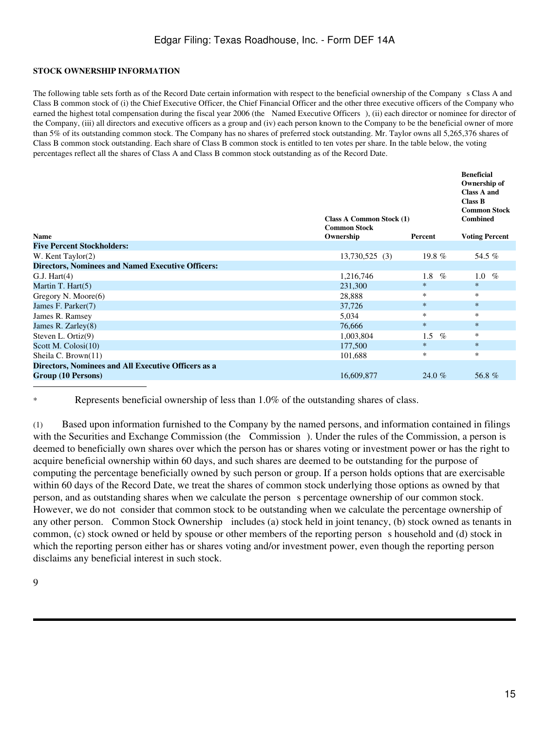## **STOCK OWNERSHIP INFORMATION**

The following table sets forth as of the Record Date certain information with respect to the beneficial ownership of the Companys Class A and Class B common stock of (i) the Chief Executive Officer, the Chief Financial Officer and the other three executive officers of the Company who earned the highest total compensation during the fiscal year 2006 (the Named Executive Officers), (ii) each director or nominee for director of the Company, (iii) all directors and executive officers as a group and (iv) each person known to the Company to be the beneficial owner of more than 5% of its outstanding common stock. The Company has no shares of preferred stock outstanding. Mr. Taylor owns all 5,265,376 shares of Class B common stock outstanding. Each share of Class B common stock is entitled to ten votes per share. In the table below, the voting percentages reflect all the shares of Class A and Class B common stock outstanding as of the Record Date.

| <b>Name</b><br>Ownership<br><b>Voting Percent</b><br>Percent<br><b>Five Percent Stockholders:</b><br>19.8 $%$<br>54.5 %<br>W. Kent Taylor(2)<br>$13,730,525$ (3)<br><b>Directors, Nominees and Named Executive Officers:</b><br>1,216,746<br>1.8<br>$\%$<br>G.J. Hart(4)<br>1.0<br>$\%$<br>$\ast$<br>Martin T. Hart(5)<br>$\ast$<br>231,300<br>*<br>∗<br>Gregory N. Moore $(6)$<br>28,888<br>$\ast$<br>$\ast$<br>37,726<br>James F. Parker(7)<br>$\ast$<br>∗<br>5,034<br>James R. Ramsey<br>$\ast$<br>$\ast$ |                       | <b>Class A Common Stock (1)</b><br><b>Common Stock</b> | <b>Beneficial</b><br>Ownership of<br><b>Class A and</b><br><b>Class B</b><br><b>Common Stock</b><br><b>Combined</b> |
|--------------------------------------------------------------------------------------------------------------------------------------------------------------------------------------------------------------------------------------------------------------------------------------------------------------------------------------------------------------------------------------------------------------------------------------------------------------------------------------------------------------|-----------------------|--------------------------------------------------------|---------------------------------------------------------------------------------------------------------------------|
|                                                                                                                                                                                                                                                                                                                                                                                                                                                                                                              |                       |                                                        |                                                                                                                     |
|                                                                                                                                                                                                                                                                                                                                                                                                                                                                                                              |                       |                                                        |                                                                                                                     |
|                                                                                                                                                                                                                                                                                                                                                                                                                                                                                                              |                       |                                                        |                                                                                                                     |
|                                                                                                                                                                                                                                                                                                                                                                                                                                                                                                              |                       |                                                        |                                                                                                                     |
|                                                                                                                                                                                                                                                                                                                                                                                                                                                                                                              |                       |                                                        |                                                                                                                     |
|                                                                                                                                                                                                                                                                                                                                                                                                                                                                                                              |                       |                                                        |                                                                                                                     |
|                                                                                                                                                                                                                                                                                                                                                                                                                                                                                                              |                       |                                                        |                                                                                                                     |
|                                                                                                                                                                                                                                                                                                                                                                                                                                                                                                              |                       |                                                        |                                                                                                                     |
|                                                                                                                                                                                                                                                                                                                                                                                                                                                                                                              |                       |                                                        |                                                                                                                     |
|                                                                                                                                                                                                                                                                                                                                                                                                                                                                                                              | James R. Zarley $(8)$ | 76,666                                                 |                                                                                                                     |
| $\ast$<br>Steven L. Ortiz $(9)$<br>1,003,804<br>$\%$<br>1.5                                                                                                                                                                                                                                                                                                                                                                                                                                                  |                       |                                                        |                                                                                                                     |
| $\ast$<br>$\ast$<br>Scott M. Colosi(10)<br>177,500                                                                                                                                                                                                                                                                                                                                                                                                                                                           |                       |                                                        |                                                                                                                     |
| *<br>*<br>Sheila C. Brown(11)<br>101,688                                                                                                                                                                                                                                                                                                                                                                                                                                                                     |                       |                                                        |                                                                                                                     |
| Directors, Nominees and All Executive Officers as a                                                                                                                                                                                                                                                                                                                                                                                                                                                          |                       |                                                        |                                                                                                                     |
| Group (10 Persons)<br>16,609,877<br>56.8%<br>24.0 %                                                                                                                                                                                                                                                                                                                                                                                                                                                          |                       |                                                        |                                                                                                                     |

Represents beneficial ownership of less than 1.0% of the outstanding shares of class.

(1) Based upon information furnished to the Company by the named persons, and information contained in filings with the Securities and Exchange Commission (the Commission). Under the rules of the Commission, a person is deemed to beneficially own shares over which the person has or shares voting or investment power or has the right to acquire beneficial ownership within 60 days, and such shares are deemed to be outstanding for the purpose of computing the percentage beneficially owned by such person or group. If a person holds options that are exercisable within 60 days of the Record Date, we treat the shares of common stock underlying those options as owned by that person, and as outstanding shares when we calculate the persons percentage ownership of our common stock. However, we do not consider that common stock to be outstanding when we calculate the percentage ownership of any other person. Common Stock Ownership includes (a) stock held in joint tenancy, (b) stock owned as tenants in common, (c) stock owned or held by spouse or other members of the reporting persons household and (d) stock in which the reporting person either has or shares voting and/or investment power, even though the reporting person disclaims any beneficial interest in such stock.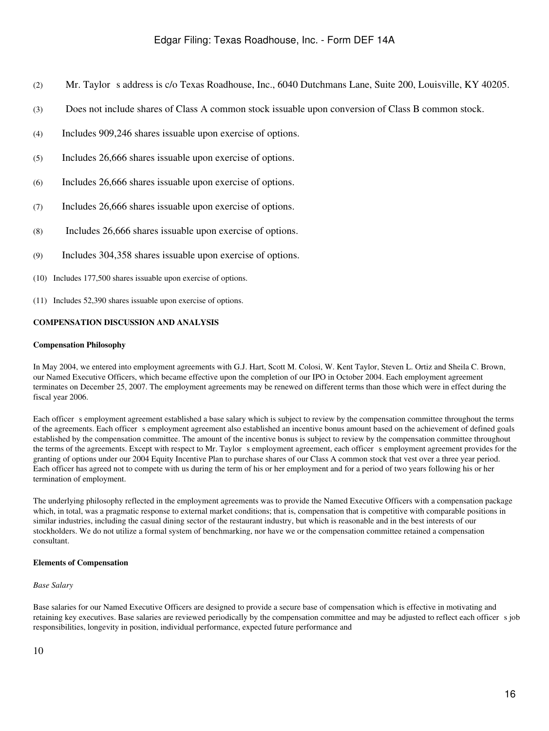- (2) Mr. Taylor s address is c/o Texas Roadhouse, Inc., 6040 Dutchmans Lane, Suite 200, Louisville, KY 40205.
- (3) Does not include shares of Class A common stock issuable upon conversion of Class B common stock.
- (4) Includes 909,246 shares issuable upon exercise of options.
- (5) Includes 26,666 shares issuable upon exercise of options.
- (6) Includes 26,666 shares issuable upon exercise of options.
- (7) Includes 26,666 shares issuable upon exercise of options.
- (8) Includes 26,666 shares issuable upon exercise of options.
- (9) Includes 304,358 shares issuable upon exercise of options.
- (10) Includes 177,500 shares issuable upon exercise of options.
- (11) Includes 52,390 shares issuable upon exercise of options.

## **COMPENSATION DISCUSSION AND ANALYSIS**

#### **Compensation Philosophy**

In May 2004, we entered into employment agreements with G.J. Hart, Scott M. Colosi, W. Kent Taylor, Steven L. Ortiz and Sheila C. Brown, our Named Executive Officers, which became effective upon the completion of our IPO in October 2004. Each employment agreement terminates on December 25, 2007. The employment agreements may be renewed on different terms than those which were in effect during the fiscal year 2006.

Each officer s employment agreement established a base salary which is subject to review by the compensation committee throughout the terms of the agreements. Each officer s employment agreement also established an incentive bonus amount based on the achievement of defined goals established by the compensation committee. The amount of the incentive bonus is subject to review by the compensation committee throughout the terms of the agreements. Except with respect to Mr. Taylor s employment agreement, each officer s employment agreement provides for the granting of options under our 2004 Equity Incentive Plan to purchase shares of our Class A common stock that vest over a three year period. Each officer has agreed not to compete with us during the term of his or her employment and for a period of two years following his or her termination of employment.

The underlying philosophy reflected in the employment agreements was to provide the Named Executive Officers with a compensation package which, in total, was a pragmatic response to external market conditions; that is, compensation that is competitive with comparable positions in similar industries, including the casual dining sector of the restaurant industry, but which is reasonable and in the best interests of our stockholders. We do not utilize a formal system of benchmarking, nor have we or the compensation committee retained a compensation consultant.

## **Elements of Compensation**

#### *Base Salary*

Base salaries for our Named Executive Officers are designed to provide a secure base of compensation which is effective in motivating and retaining key executives. Base salaries are reviewed periodically by the compensation committee and may be adjusted to reflect each officer s job responsibilities, longevity in position, individual performance, expected future performance and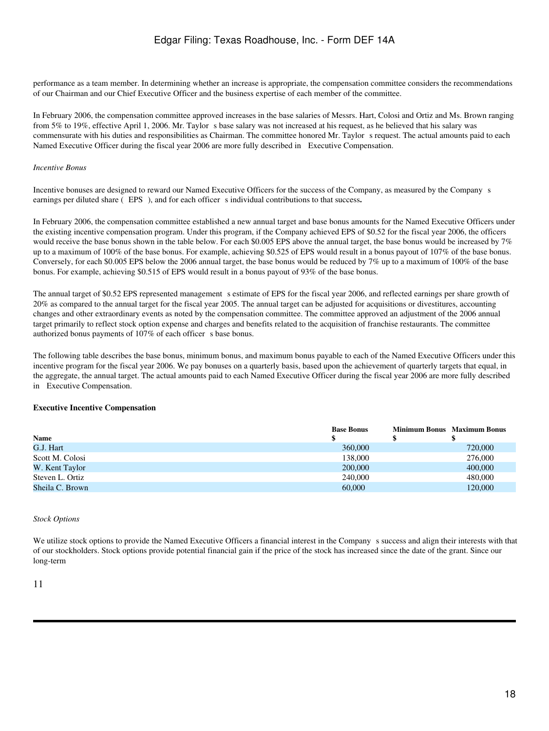performance as a team member. In determining whether an increase is appropriate, the compensation committee considers the recommendations of our Chairman and our Chief Executive Officer and the business expertise of each member of the committee.

In February 2006, the compensation committee approved increases in the base salaries of Messrs. Hart, Colosi and Ortiz and Ms. Brown ranging from 5% to 19%, effective April 1, 2006. Mr. Taylor s base salary was not increased at his request, as he believed that his salary was commensurate with his duties and responsibilities as Chairman. The committee honored Mr. Taylor s request. The actual amounts paid to each Named Executive Officer during the fiscal year 2006 are more fully described in Executive Compensation.

#### *Incentive Bonus*

Incentive bonuses are designed to reward our Named Executive Officers for the success of the Company, as measured by the Companys earnings per diluted share (EPS), and for each officer s individual contributions to that success.

In February 2006, the compensation committee established a new annual target and base bonus amounts for the Named Executive Officers under the existing incentive compensation program. Under this program, if the Company achieved EPS of \$0.52 for the fiscal year 2006, the officers would receive the base bonus shown in the table below. For each \$0.005 EPS above the annual target, the base bonus would be increased by 7% up to a maximum of 100% of the base bonus. For example, achieving \$0.525 of EPS would result in a bonus payout of 107% of the base bonus. Conversely, for each \$0.005 EPS below the 2006 annual target, the base bonus would be reduced by 7% up to a maximum of 100% of the base bonus. For example, achieving \$0.515 of EPS would result in a bonus payout of 93% of the base bonus.

The annual target of \$0.52 EPS represented management s estimate of EPS for the fiscal year 2006, and reflected earnings per share growth of 20% as compared to the annual target for the fiscal year 2005. The annual target can be adjusted for acquisitions or divestitures, accounting changes and other extraordinary events as noted by the compensation committee. The committee approved an adjustment of the 2006 annual target primarily to reflect stock option expense and charges and benefits related to the acquisition of franchise restaurants. The committee authorized bonus payments of 107% of each officer s base bonus.

The following table describes the base bonus, minimum bonus, and maximum bonus payable to each of the Named Executive Officers under this incentive program for the fiscal year 2006. We pay bonuses on a quarterly basis, based upon the achievement of quarterly targets that equal, in the aggregate, the annual target. The actual amounts paid to each Named Executive Officer during the fiscal year 2006 are more fully described in Executive Compensation.

#### **Executive Incentive Compensation**

|                 | <b>Base Bonus</b> | <b>Minimum Bonus</b> Maximum Bonus |
|-----------------|-------------------|------------------------------------|
| <b>Name</b>     |                   |                                    |
| G.J. Hart       | 360,000           | 720,000                            |
| Scott M. Colosi | 138,000           | 276,000                            |
| W. Kent Taylor  | 200,000           | 400,000                            |
| Steven L. Ortiz | 240,000           | 480,000                            |
| Sheila C. Brown | 60,000            | 120,000                            |

#### *Stock Options*

We utilize stock options to provide the Named Executive Officers a financial interest in the Company s success and align their interests with that of our stockholders. Stock options provide potential financial gain if the price of the stock has increased since the date of the grant. Since our long-term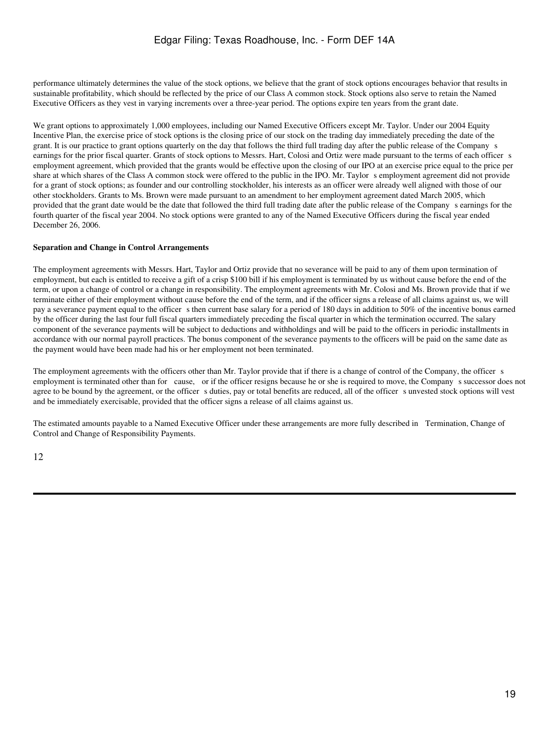performance ultimately determines the value of the stock options, we believe that the grant of stock options encourages behavior that results in sustainable profitability, which should be reflected by the price of our Class A common stock. Stock options also serve to retain the Named Executive Officers as they vest in varying increments over a three-year period. The options expire ten years from the grant date.

We grant options to approximately 1,000 employees, including our Named Executive Officers except Mr. Taylor. Under our 2004 Equity Incentive Plan, the exercise price of stock options is the closing price of our stock on the trading day immediately preceding the date of the grant. It is our practice to grant options quarterly on the day that follows the third full trading day after the public release of the Companys earnings for the prior fiscal quarter. Grants of stock options to Messrs. Hart, Colosi and Ortiz were made pursuant to the terms of each officer s employment agreement, which provided that the grants would be effective upon the closing of our IPO at an exercise price equal to the price per share at which shares of the Class A common stock were offered to the public in the IPO. Mr. Taylor semployment agreement did not provide for a grant of stock options; as founder and our controlling stockholder, his interests as an officer were already well aligned with those of our other stockholders. Grants to Ms. Brown were made pursuant to an amendment to her employment agreement dated March 2005, which provided that the grant date would be the date that followed the third full trading date after the public release of the Companys earnings for the fourth quarter of the fiscal year 2004. No stock options were granted to any of the Named Executive Officers during the fiscal year ended December 26, 2006.

#### **Separation and Change in Control Arrangements**

The employment agreements with Messrs. Hart, Taylor and Ortiz provide that no severance will be paid to any of them upon termination of employment, but each is entitled to receive a gift of a crisp \$100 bill if his employment is terminated by us without cause before the end of the term, or upon a change of control or a change in responsibility. The employment agreements with Mr. Colosi and Ms. Brown provide that if we terminate either of their employment without cause before the end of the term, and if the officer signs a release of all claims against us, we will pay a severance payment equal to the officer s then current base salary for a period of 180 days in addition to  $50\%$  of the incentive bonus earned by the officer during the last four full fiscal quarters immediately preceding the fiscal quarter in which the termination occurred. The salary component of the severance payments will be subject to deductions and withholdings and will be paid to the officers in periodic installments in accordance with our normal payroll practices. The bonus component of the severance payments to the officers will be paid on the same date as the payment would have been made had his or her employment not been terminated.

The employment agreements with the officers other than Mr. Taylor provide that if there is a change of control of the Company, the officer s employment is terminated other than for cause, or if the officer resigns because he or she is required to move, the Company s successor does not agree to be bound by the agreement, or the officer s duties, pay or total benefits are reduced, all of the officer s unvested stock options will vest and be immediately exercisable, provided that the officer signs a release of all claims against us.

The estimated amounts payable to a Named Executive Officer under these arrangements are more fully described in Termination, Change of Control and Change of Responsibility Payments.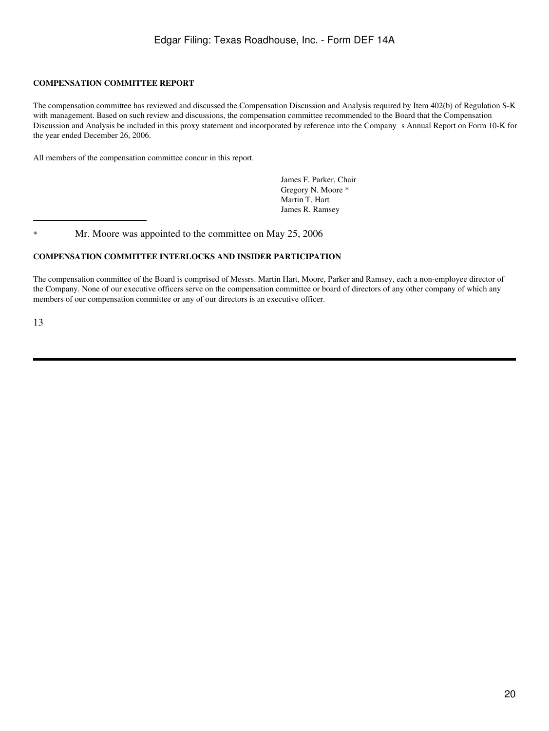## **COMPENSATION COMMITTEE REPORT**

The compensation committee has reviewed and discussed the Compensation Discussion and Analysis required by Item 402(b) of Regulation S-K with management. Based on such review and discussions, the compensation committee recommended to the Board that the Compensation Discussion and Analysis be included in this proxy statement and incorporated by reference into the Companys Annual Report on Form 10-K for the year ended December 26, 2006.

All members of the compensation committee concur in this report.

James F. Parker, Chair Gregory N. Moore \* Martin T. Hart James R. Ramsey

\* Mr. Moore was appointed to the committee on May 25, 2006

## **COMPENSATION COMMITTEE INTERLOCKS AND INSIDER PARTICIPATION**

The compensation committee of the Board is comprised of Messrs. Martin Hart, Moore, Parker and Ramsey, each a non-employee director of the Company. None of our executive officers serve on the compensation committee or board of directors of any other company of which any members of our compensation committee or any of our directors is an executive officer.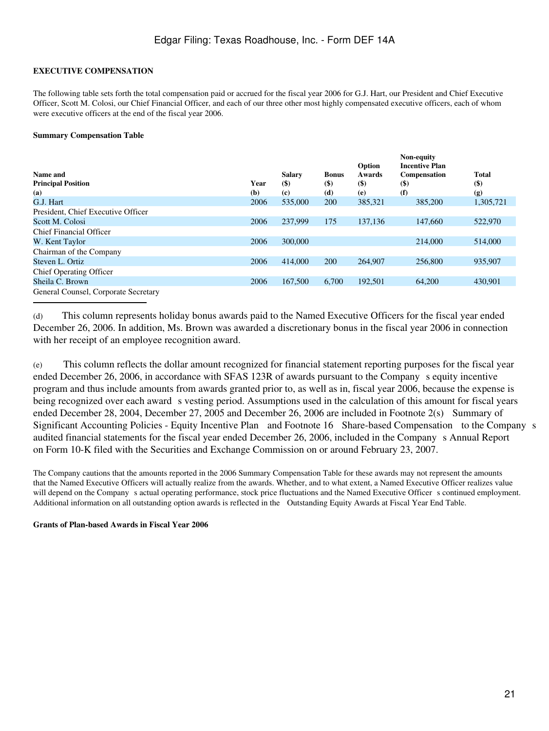## **EXECUTIVE COMPENSATION**

The following table sets forth the total compensation paid or accrued for the fiscal year 2006 for G.J. Hart, our President and Chief Executive Officer, Scott M. Colosi, our Chief Financial Officer, and each of our three other most highly compensated executive officers, each of whom were executive officers at the end of the fiscal year 2006.

### **Summary Compensation Table**

|                                      |      |               |              | Option                     | Non-equity<br><b>Incentive Plan</b> |                             |
|--------------------------------------|------|---------------|--------------|----------------------------|-------------------------------------|-----------------------------|
| Name and                             |      | <b>Salary</b> | <b>Bonus</b> | Awards                     | Compensation                        | <b>Total</b>                |
| <b>Principal Position</b>            | Year | $($ \$        | $($)$        | $\left( \mathsf{S}\right)$ | $\left( \mathbf{\$}\right)$         | $\left( \mathsf{S} \right)$ |
| (a)                                  | (b)  | (c)           | (d)          | (e)                        | (f)                                 | (g)                         |
| G.J. Hart                            | 2006 | 535,000       | 200          | 385,321                    | 385,200                             | 1,305,721                   |
| President, Chief Executive Officer   |      |               |              |                            |                                     |                             |
| Scott M. Colosi                      | 2006 | 237,999       | 175          | 137,136                    | 147,660                             | 522,970                     |
| Chief Financial Officer              |      |               |              |                            |                                     |                             |
| W. Kent Taylor                       | 2006 | 300,000       |              |                            | 214,000                             | 514,000                     |
| Chairman of the Company              |      |               |              |                            |                                     |                             |
| Steven L. Ortiz                      | 2006 | 414,000       | 200          | 264,907                    | 256,800                             | 935,907                     |
| <b>Chief Operating Officer</b>       |      |               |              |                            |                                     |                             |
| Sheila C. Brown                      | 2006 | 167,500       | 6.700        | 192,501                    | 64,200                              | 430,901                     |
| General Counsel, Corporate Secretary |      |               |              |                            |                                     |                             |

(d) This column represents holiday bonus awards paid to the Named Executive Officers for the fiscal year ended December 26, 2006. In addition, Ms. Brown was awarded a discretionary bonus in the fiscal year 2006 in connection with her receipt of an employee recognition award.

(e) This column reflects the dollar amount recognized for financial statement reporting purposes for the fiscal year ended December 26, 2006, in accordance with SFAS 123R of awards pursuant to the Company s equity incentive program and thus include amounts from awards granted prior to, as well as in, fiscal year 2006, because the expense is being recognized over each award s vesting period. Assumptions used in the calculation of this amount for fiscal years ended December 28, 2004, December 27, 2005 and December 26, 2006 are included in Footnote 2(s) Summary of Significant Accounting Policies - Equity Incentive Plan and Footnote 16 Share-based Compensation to the Companys audited financial statements for the fiscal year ended December 26, 2006, included in the Company s Annual Report on Form 10-K filed with the Securities and Exchange Commission on or around February 23, 2007.

The Company cautions that the amounts reported in the 2006 Summary Compensation Table for these awards may not represent the amounts that the Named Executive Officers will actually realize from the awards. Whether, and to what extent, a Named Executive Officer realizes value will depend on the Company s actual operating performance, stock price fluctuations and the Named Executive Officer s continued employment. Additional information on all outstanding option awards is reflected in the Outstanding Equity Awards at Fiscal Year End Table.

#### **Grants of Plan-based Awards in Fiscal Year 2006**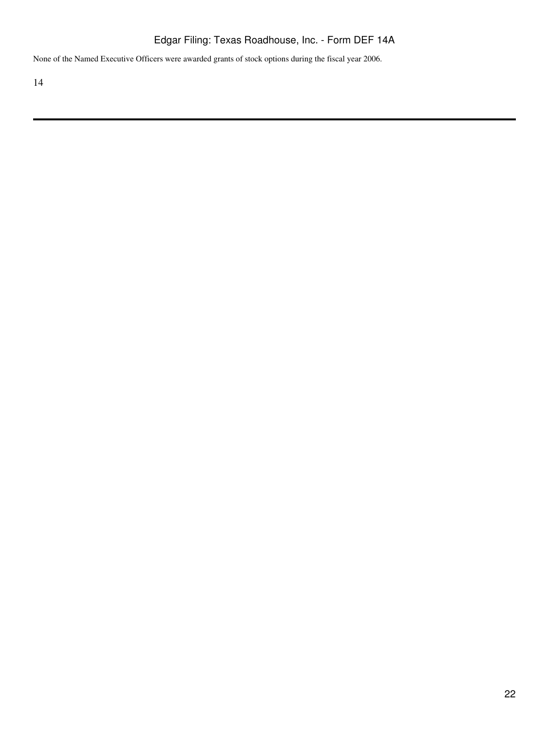None of the Named Executive Officers were awarded grants of stock options during the fiscal year 2006.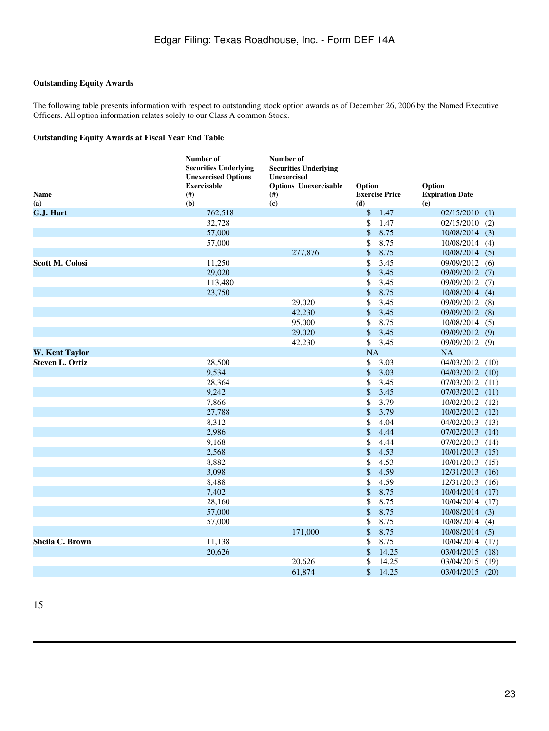## **Outstanding Equity Awards**

The following table presents information with respect to outstanding stock option awards as of December 26, 2006 by the Named Executive Officers. All option information relates solely to our Class A common Stock.

### **Outstanding Equity Awards at Fiscal Year End Table**

| <b>Name</b><br>(a)     | Number of<br><b>Securities Underlying</b><br><b>Unexercised Options</b><br><b>Exercisable</b><br>(#)<br>(b) | Number of<br><b>Securities Underlying</b><br><b>Unexercised</b><br><b>Options Unexercisable</b><br>(#)<br>(c) | Option<br><b>Exercise Price</b><br>(d) | Option<br><b>Expiration Date</b><br>(e) |
|------------------------|-------------------------------------------------------------------------------------------------------------|---------------------------------------------------------------------------------------------------------------|----------------------------------------|-----------------------------------------|
| G.J. Hart              | 762,518                                                                                                     |                                                                                                               | \$<br>1.47                             | $02/15/2010$ (1)                        |
|                        | 32,728                                                                                                      |                                                                                                               | \$<br>1.47                             | 02/15/2010<br>(2)                       |
|                        | 57,000                                                                                                      |                                                                                                               | \$<br>8.75                             | $10/08/2014$ (3)                        |
|                        | 57,000                                                                                                      |                                                                                                               | 8.75<br>\$                             | 10/08/2014 (4)                          |
|                        |                                                                                                             | 277,876                                                                                                       | \$<br>8.75                             | 10/08/2014 (5)                          |
| <b>Scott M. Colosi</b> | 11,250                                                                                                      |                                                                                                               | \$<br>3.45                             | 09/09/2012 (6)                          |
|                        | 29,020                                                                                                      |                                                                                                               | \$<br>3.45                             | 09/09/2012 (7)                          |
|                        | 113,480                                                                                                     |                                                                                                               | \$<br>3.45                             | 09/09/2012 (7)                          |
|                        | 23,750                                                                                                      |                                                                                                               | \$<br>8.75                             | 10/08/2014<br>(4)                       |
|                        |                                                                                                             | 29,020                                                                                                        | \$<br>3.45                             | 09/09/2012 (8)                          |
|                        |                                                                                                             | 42,230                                                                                                        | \$<br>3.45                             | 09/09/2012 (8)                          |
|                        |                                                                                                             | 95,000                                                                                                        | \$<br>8.75                             | 10/08/2014 (5)                          |
|                        |                                                                                                             | 29,020                                                                                                        | \$<br>3.45                             | 09/09/2012 (9)                          |
|                        |                                                                                                             | 42,230                                                                                                        | \$<br>3.45                             | 09/09/2012 (9)                          |
| <b>W. Kent Taylor</b>  |                                                                                                             |                                                                                                               | NA                                     | NA                                      |
| <b>Steven L. Ortiz</b> | 28,500                                                                                                      |                                                                                                               | \$<br>3.03                             | 04/03/2012<br>(10)                      |
|                        | 9,534                                                                                                       |                                                                                                               | \$<br>3.03                             | 04/03/2012 (10)                         |
|                        | 28,364                                                                                                      |                                                                                                               | \$<br>3.45                             | 07/03/2012 (11)                         |
|                        | 9,242                                                                                                       |                                                                                                               | \$<br>3.45                             | 07/03/2012 (11)                         |
|                        | 7,866                                                                                                       |                                                                                                               | \$<br>3.79                             | 10/02/2012 (12)                         |
|                        | 27,788                                                                                                      |                                                                                                               | \$<br>3.79                             | 10/02/2012 (12)                         |
|                        | 8,312                                                                                                       |                                                                                                               | \$<br>4.04                             | 04/02/2013 (13)                         |
|                        | 2,986                                                                                                       |                                                                                                               | $\mathbb{S}$<br>4.44                   | 07/02/2013<br>(14)                      |
|                        | 9,168                                                                                                       |                                                                                                               | \$<br>4.44                             | 07/02/2013<br>(14)                      |
|                        | 2,568                                                                                                       |                                                                                                               | \$<br>4.53                             | 10/01/2013<br>(15)                      |
|                        | 8,882                                                                                                       |                                                                                                               | \$<br>4.53                             | 10/01/2013<br>(15)                      |
|                        | 3,098                                                                                                       |                                                                                                               | \$<br>4.59                             | 12/31/2013<br>(16)                      |
|                        | 8,488                                                                                                       |                                                                                                               | \$<br>4.59                             | 12/31/2013<br>(16)                      |
|                        | 7,402                                                                                                       |                                                                                                               | \$<br>8.75                             | 10/04/2014<br>(17)                      |
|                        | 28,160                                                                                                      |                                                                                                               | \$<br>8.75                             | 10/04/2014<br>(17)                      |
|                        | 57,000                                                                                                      |                                                                                                               | \$<br>8.75                             | $10/08/2014$ (3)                        |
|                        | 57,000                                                                                                      |                                                                                                               | \$<br>8.75                             | 10/08/2014 (4)                          |
|                        |                                                                                                             | 171,000                                                                                                       | \$<br>8.75                             | $10/08/2014$ (5)                        |
| Sheila C. Brown        | 11,138                                                                                                      |                                                                                                               | \$<br>8.75                             | 10/04/2014<br>(17)                      |
|                        | 20,626                                                                                                      |                                                                                                               | \$<br>14.25                            | 03/04/2015<br>(18)                      |
|                        |                                                                                                             | 20.626                                                                                                        | \$<br>14.25                            | 03/04/2015<br>(19)                      |
|                        |                                                                                                             | 61.874                                                                                                        | $\mathbf{\hat{s}}$<br>14.25            | 03/04/2015<br>(20)                      |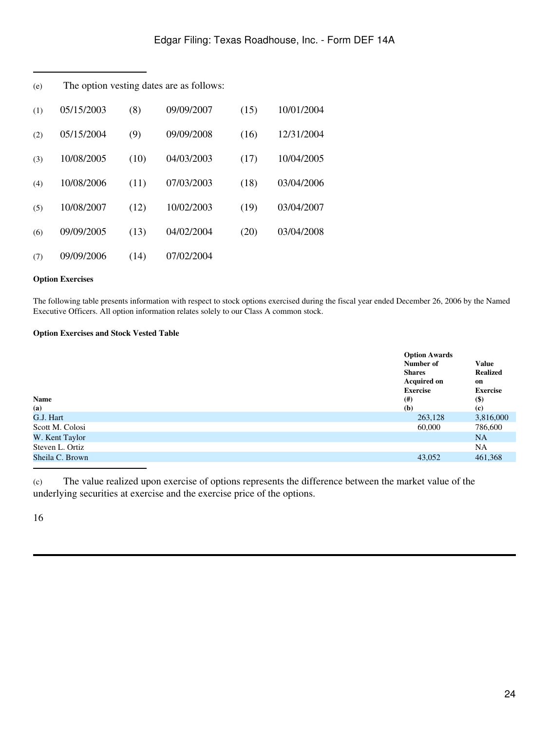| (e) |            |      | The option vesting dates are as follows: |      |            |  |
|-----|------------|------|------------------------------------------|------|------------|--|
| (1) | 05/15/2003 | (8)  | 09/09/2007                               | (15) | 10/01/2004 |  |
| (2) | 05/15/2004 | (9)  | 09/09/2008                               | (16) | 12/31/2004 |  |
| (3) | 10/08/2005 | (10) | 04/03/2003                               | (17) | 10/04/2005 |  |
| (4) | 10/08/2006 | (11) | 07/03/2003                               | (18) | 03/04/2006 |  |
| (5) | 10/08/2007 | (12) | 10/02/2003                               | (19) | 03/04/2007 |  |
| (6) | 09/09/2005 | (13) | 04/02/2004                               | (20) | 03/04/2008 |  |
| (7) | 09/09/2006 | (14) | 07/02/2004                               |      |            |  |

## **Option Exercises**

The following table presents information with respect to stock options exercised during the fiscal year ended December 26, 2006 by the Named Executive Officers. All option information relates solely to our Class A common stock.

### **Option Exercises and Stock Vested Table**

| Name            | <b>Option Awards</b><br>Number of<br><b>Shares</b><br><b>Acquired on</b><br><b>Exercise</b><br>(# ) | <b>Value</b><br><b>Realized</b><br>on<br><b>Exercise</b><br>$($)$ |
|-----------------|-----------------------------------------------------------------------------------------------------|-------------------------------------------------------------------|
| (a)             | (b)                                                                                                 | $\left( \mathbf{c} \right)$                                       |
| G.J. Hart       | 263,128                                                                                             | 3,816,000                                                         |
| Scott M. Colosi | 60,000                                                                                              | 786,600                                                           |
| W. Kent Taylor  |                                                                                                     | <b>NA</b>                                                         |
| Steven L. Ortiz |                                                                                                     | <b>NA</b>                                                         |
| Sheila C. Brown | 43,052                                                                                              | 461,368                                                           |

(c) The value realized upon exercise of options represents the difference between the market value of the underlying securities at exercise and the exercise price of the options.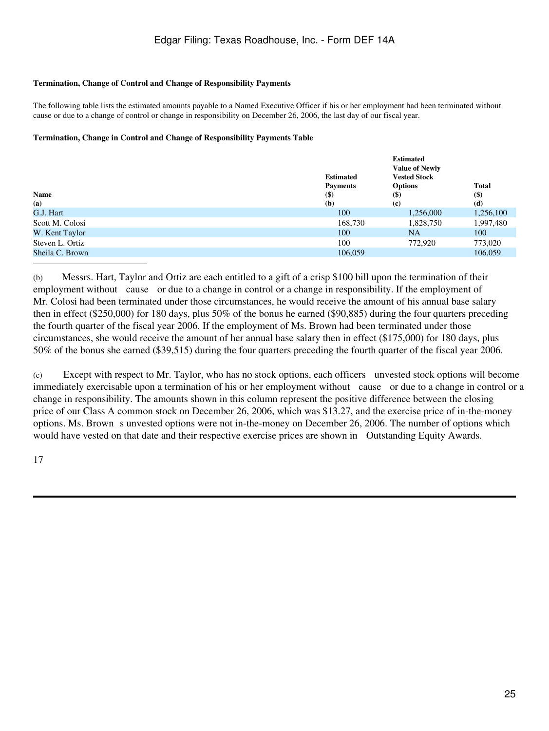### **Termination, Change of Control and Change of Responsibility Payments**

The following table lists the estimated amounts payable to a Named Executive Officer if his or her employment had been terminated without cause or due to a change of control or change in responsibility on December 26, 2006, the last day of our fiscal year.

### **Termination, Change in Control and Change of Responsibility Payments Table**

|                 | <b>Estimated</b><br><b>Payments</b> | <b>Estimated</b><br><b>Value of Newly</b><br><b>Vested Stock</b><br><b>Options</b> | <b>Total</b> |
|-----------------|-------------------------------------|------------------------------------------------------------------------------------|--------------|
| <b>Name</b>     | $(\$)$                              | $($ \$)                                                                            | $($)$        |
| (a)             | (b)                                 | (c)                                                                                | (d)          |
| G.J. Hart       | 100                                 | 1,256,000                                                                          | 1,256,100    |
| Scott M. Colosi | 168,730                             | 1,828,750                                                                          | 1,997,480    |
| W. Kent Taylor  | 100                                 | <b>NA</b>                                                                          | 100          |
| Steven L. Ortiz | 100                                 | 772,920                                                                            | 773,020      |
| Sheila C. Brown | 106,059                             |                                                                                    | 106,059      |

(b) Messrs. Hart, Taylor and Ortiz are each entitled to a gift of a crisp \$100 bill upon the termination of their employment without cause or due to a change in control or a change in responsibility. If the employment of Mr. Colosi had been terminated under those circumstances, he would receive the amount of his annual base salary then in effect (\$250,000) for 180 days, plus 50% of the bonus he earned (\$90,885) during the four quarters preceding the fourth quarter of the fiscal year 2006. If the employment of Ms. Brown had been terminated under those circumstances, she would receive the amount of her annual base salary then in effect (\$175,000) for 180 days, plus 50% of the bonus she earned (\$39,515) during the four quarters preceding the fourth quarter of the fiscal year 2006.

(c) Except with respect to Mr. Taylor, who has no stock options, each officers unvested stock options will become immediately exercisable upon a termination of his or her employment without cause or due to a change in control or a change in responsibility. The amounts shown in this column represent the positive difference between the closing price of our Class A common stock on December 26, 2006, which was \$13.27, and the exercise price of in-the-money options. Ms. Brown sunvested options were not in-the-money on December 26, 2006. The number of options which would have vested on that date and their respective exercise prices are shown in Outstanding Equity Awards.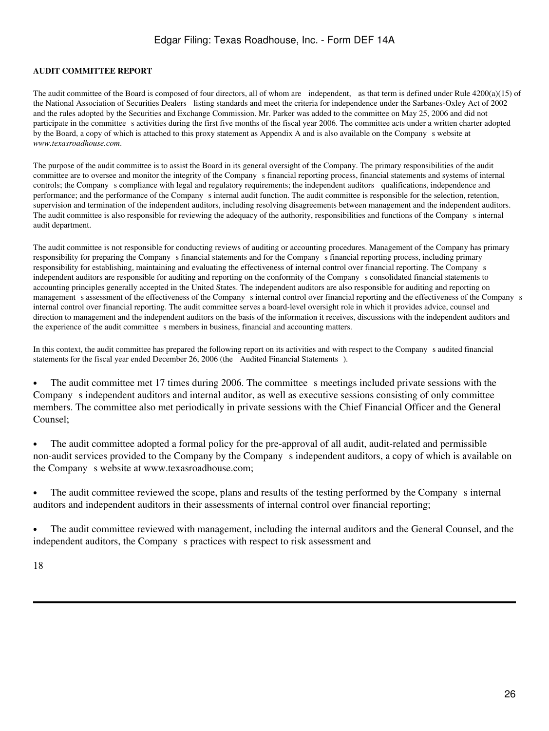## **AUDIT COMMITTEE REPORT**

The audit committee of the Board is composed of four directors, all of whom are independent, as that term is defined under Rule 4200(a)(15) of the National Association of Securities Dealers listing standards and meet the criteria for independence under the Sarbanes-Oxley Act of 2002 and the rules adopted by the Securities and Exchange Commission. Mr. Parker was added to the committee on May 25, 2006 and did not participate in the committee s activities during the first five months of the fiscal year 2006. The committee acts under a written charter adopted by the Board, a copy of which is attached to this proxy statement as Appendix A and is also available on the Companys website at *www.texasroadhouse.com*.

The purpose of the audit committee is to assist the Board in its general oversight of the Company. The primary responsibilities of the audit committee are to oversee and monitor the integrity of the Companys financial reporting process, financial statements and systems of internal controls; the Company s compliance with legal and regulatory requirements; the independent auditors qualifications, independence and performance; and the performance of the Companys internal audit function. The audit committee is responsible for the selection, retention, supervision and termination of the independent auditors, including resolving disagreements between management and the independent auditors. The audit committee is also responsible for reviewing the adequacy of the authority, responsibilities and functions of the Company s internal audit department.

The audit committee is not responsible for conducting reviews of auditing or accounting procedures. Management of the Company has primary responsibility for preparing the Companys financial statements and for the Companys financial reporting process, including primary responsibility for establishing, maintaining and evaluating the effectiveness of internal control over financial reporting. The Companys independent auditors are responsible for auditing and reporting on the conformity of the Companys consolidated financial statements to accounting principles generally accepted in the United States. The independent auditors are also responsible for auditing and reporting on management s assessment of the effectiveness of the Company s internal control over financial reporting and the effectiveness of the Company s internal control over financial reporting. The audit committee serves a board-level oversight role in which it provides advice, counsel and direction to management and the independent auditors on the basis of the information it receives, discussions with the independent auditors and the experience of the audit committee s members in business, financial and accounting matters.

In this context, the audit committee has prepared the following report on its activities and with respect to the Company s audited financial statements for the fiscal year ended December 26, 2006 (the Audited Financial Statements).

• The audit committee met 17 times during 2006. The committee s meetings included private sessions with the Company s independent auditors and internal auditor, as well as executive sessions consisting of only committee members. The committee also met periodically in private sessions with the Chief Financial Officer and the General Counsel;

• The audit committee adopted a formal policy for the pre-approval of all audit, audit-related and permissible non-audit services provided to the Company by the Company s independent auditors, a copy of which is available on the Company s website at www.texasroadhouse.com;

• The audit committee reviewed the scope, plans and results of the testing performed by the Company s internal auditors and independent auditors in their assessments of internal control over financial reporting;

• The audit committee reviewed with management, including the internal auditors and the General Counsel, and the independent auditors, the Company s practices with respect to risk assessment and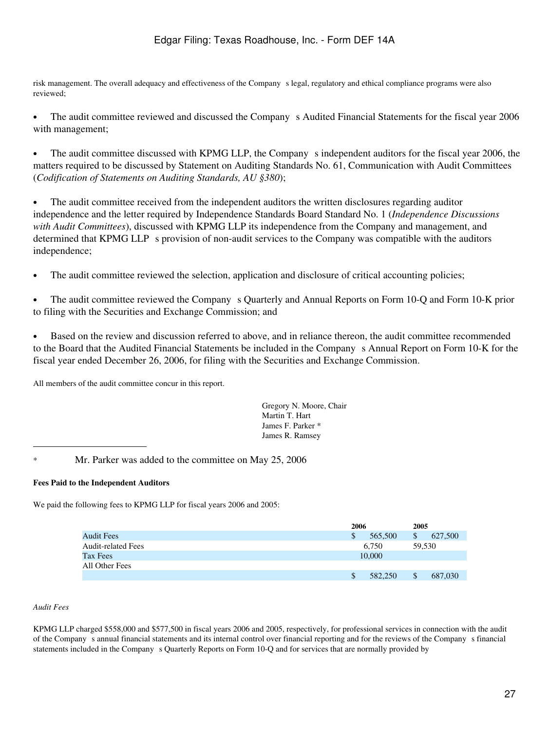risk management. The overall adequacy and effectiveness of the Company s legal, regulatory and ethical compliance programs were also reviewed;

• The audit committee reviewed and discussed the Company s Audited Financial Statements for the fiscal year 2006 with management;

The audit committee discussed with KPMG LLP, the Company s independent auditors for the fiscal year 2006, the matters required to be discussed by Statement on Auditing Standards No. 61, Communication with Audit Committees (*Codification of Statements on Auditing Standards, AU §380*);

• The audit committee received from the independent auditors the written disclosures regarding auditor independence and the letter required by Independence Standards Board Standard No. 1 (*Independence Discussions with Audit Committees*), discussed with KPMG LLP its independence from the Company and management, and determined that KPMG LLP s provision of non-audit services to the Company was compatible with the auditors independence;

The audit committee reviewed the selection, application and disclosure of critical accounting policies;

• The audit committee reviewed the Company s Quarterly and Annual Reports on Form 10-Q and Form 10-K prior to filing with the Securities and Exchange Commission; and

• Based on the review and discussion referred to above, and in reliance thereon, the audit committee recommended to the Board that the Audited Financial Statements be included in the Companys Annual Report on Form 10-K for the fiscal year ended December 26, 2006, for filing with the Securities and Exchange Commission.

All members of the audit committee concur in this report.

Gregory N. Moore, Chair Martin T. Hart James F. Parker \* James R. Ramsey

\* Mr. Parker was added to the committee on May 25, 2006

## **Fees Paid to the Independent Auditors**

We paid the following fees to KPMG LLP for fiscal years 2006 and 2005:

|                           | 2006 |         | 2005   |         |
|---------------------------|------|---------|--------|---------|
| <b>Audit Fees</b>         |      | 565,500 | \$     | 627,500 |
| <b>Audit-related Fees</b> |      | 6,750   | 59.530 |         |
| Tax Fees                  |      | 10,000  |        |         |
| All Other Fees            |      |         |        |         |
|                           |      | 582,250 |        | 687,030 |

#### *Audit Fees*

KPMG LLP charged \$558,000 and \$577,500 in fiscal years 2006 and 2005, respectively, for professional services in connection with the audit of the Companys annual financial statements and its internal control over financial reporting and for the reviews of the Companys financial statements included in the Company s Quarterly Reports on Form 10-Q and for services that are normally provided by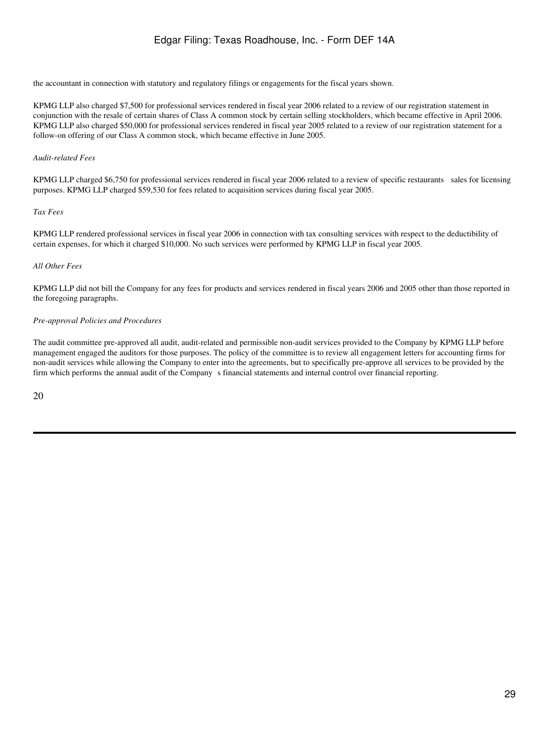the accountant in connection with statutory and regulatory filings or engagements for the fiscal years shown.

KPMG LLP also charged \$7,500 for professional services rendered in fiscal year 2006 related to a review of our registration statement in conjunction with the resale of certain shares of Class A common stock by certain selling stockholders, which became effective in April 2006. KPMG LLP also charged \$50,000 for professional services rendered in fiscal year 2005 related to a review of our registration statement for a follow-on offering of our Class A common stock, which became effective in June 2005.

#### *Audit-related Fees*

KPMG LLP charged \$6,750 for professional services rendered in fiscal year 2006 related to a review of specific restaurants sales for licensing purposes. KPMG LLP charged \$59,530 for fees related to acquisition services during fiscal year 2005.

#### *Tax Fees*

KPMG LLP rendered professional services in fiscal year 2006 in connection with tax consulting services with respect to the deductibility of certain expenses, for which it charged \$10,000. No such services were performed by KPMG LLP in fiscal year 2005.

#### *All Other Fees*

KPMG LLP did not bill the Company for any fees for products and services rendered in fiscal years 2006 and 2005 other than those reported in the foregoing paragraphs.

#### *Pre-approval Policies and Procedures*

The audit committee pre-approved all audit, audit-related and permissible non-audit services provided to the Company by KPMG LLP before management engaged the auditors for those purposes. The policy of the committee is to review all engagement letters for accounting firms for non-audit services while allowing the Company to enter into the agreements, but to specifically pre-approve all services to be provided by the firm which performs the annual audit of the Companys financial statements and internal control over financial reporting.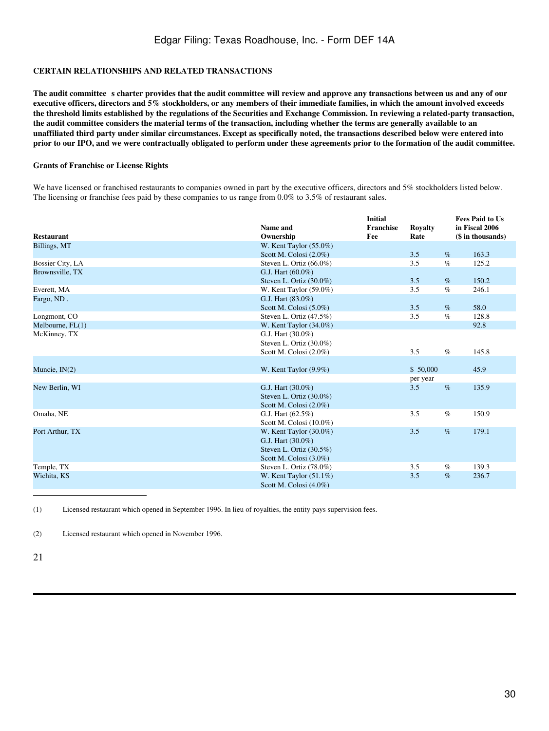## **CERTAIN RELATIONSHIPS AND RELATED TRANSACTIONS**

The audit committee s charter provides that the audit committee will review and approve any transactions between us and any of our **executive officers, directors and 5% stockholders, or any members of their immediate families, in which the amount involved exceeds the threshold limits established by the regulations of the Securities and Exchange Commission. In reviewing a related-party transaction, the audit committee considers the material terms of the transaction, including whether the terms are generally available to an unaffiliated third party under similar circumstances. Except as specifically noted, the transactions described below were entered into prior to our IPO, and we were contractually obligated to perform under these agreements prior to the formation of the audit committee.**

#### **Grants of Franchise or License Rights**

We have licensed or franchised restaurants to companies owned in part by the executive officers, directors and 5% stockholders listed below. The licensing or franchise fees paid by these companies to us range from 0.0% to 3.5% of restaurant sales.

|                    |                            | <b>Initial</b>   |                |      | <b>Fees Paid to Us</b> |
|--------------------|----------------------------|------------------|----------------|------|------------------------|
|                    | Name and                   | <b>Franchise</b> | <b>Royalty</b> |      | in Fiscal 2006         |
| <b>Restaurant</b>  | Ownership                  | Fee              | Rate           |      | (\$ in thousands)      |
| Billings, MT       | W. Kent Taylor $(55.0\%)$  |                  |                |      |                        |
|                    | Scott M. Colosi $(2.0\%)$  |                  | 3.5            | $\%$ | 163.3                  |
| Bossier City, LA   | Steven L. Ortiz $(66.0\%)$ |                  | 3.5            | $\%$ | 125.2                  |
| Brownsville, TX    | G.J. Hart (60.0%)          |                  |                |      |                        |
|                    | Steven L. Ortiz $(30.0\%)$ |                  | 3.5            | $\%$ | 150.2                  |
| Everett, MA        | W. Kent Taylor $(59.0\%)$  |                  | 3.5            | $\%$ | 246.1                  |
| Fargo, ND.         | G.J. Hart (83.0%)          |                  |                |      |                        |
|                    | Scott M. Colosi $(5.0\%)$  |                  | 3.5            | $\%$ | 58.0                   |
| Longmont, CO       | Steven L. Ortiz (47.5%)    |                  | 3.5            | $\%$ | 128.8                  |
| Melbourne, $FL(1)$ | W. Kent Taylor $(34.0\%)$  |                  |                |      | 92.8                   |
| McKinney, TX       | G.J. Hart (30.0%)          |                  |                |      |                        |
|                    | Steven L. Ortiz (30.0%)    |                  |                |      |                        |
|                    | Scott M. Colosi (2.0%)     |                  | 3.5            | $\%$ | 145.8                  |
|                    |                            |                  |                |      |                        |
| Muncie, IN(2)      | W. Kent Taylor (9.9%)      |                  | \$50,000       |      | 45.9                   |
|                    |                            |                  | per year       |      |                        |
| New Berlin, WI     | G.J. Hart (30.0%)          |                  | 3.5            | %    | 135.9                  |
|                    | Steven L. Ortiz $(30.0\%)$ |                  |                |      |                        |
|                    | Scott M. Colosi (2.0%)     |                  |                |      |                        |
| Omaha, NE          | G.J. Hart $(62.5\%)$       |                  | 3.5            | $\%$ | 150.9                  |
|                    | Scott M. Colosi (10.0%)    |                  |                |      |                        |
| Port Arthur, TX    | W. Kent Taylor $(30.0\%)$  |                  | 3.5            | $\%$ | 179.1                  |
|                    | G.J. Hart (30.0%)          |                  |                |      |                        |
|                    | Steven L. Ortiz (30.5%)    |                  |                |      |                        |
|                    | Scott M. Colosi (3.0%)     |                  |                |      |                        |
| Temple, TX         | Steven L. Ortiz $(78.0\%)$ |                  | 3.5            | $\%$ | 139.3                  |
| Wichita, KS        | W. Kent Taylor $(51.1\%)$  |                  | 3.5            | $\%$ | 236.7                  |
|                    | Scott M. Colosi (4.0%)     |                  |                |      |                        |

(1) Licensed restaurant which opened in September 1996. In lieu of royalties, the entity pays supervision fees.

(2) Licensed restaurant which opened in November 1996.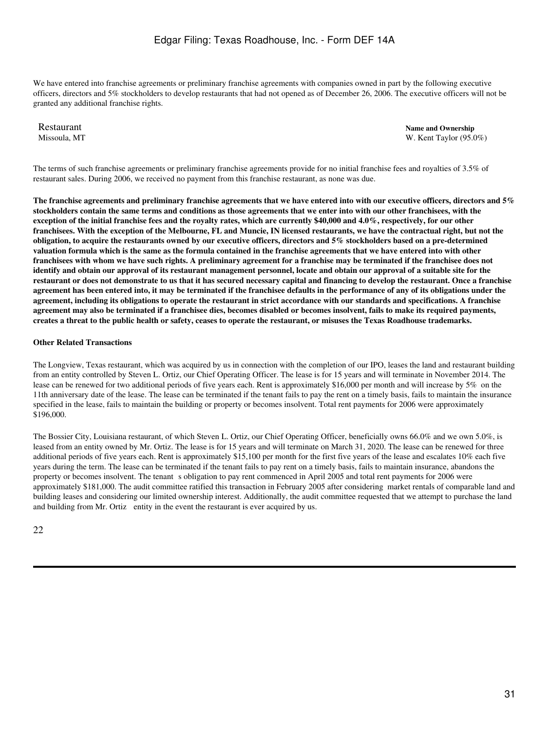We have entered into franchise agreements or preliminary franchise agreements with companies owned in part by the following executive officers, directors and 5% stockholders to develop restaurants that had not opened as of December 26, 2006. The executive officers will not be granted any additional franchise rights.

Restaurant **Name and Ownership**<br>Missoula. MT<br>W. Kent Taylor (95.0 W. Kent Taylor (95.0%)

The terms of such franchise agreements or preliminary franchise agreements provide for no initial franchise fees and royalties of 3.5% of restaurant sales. During 2006, we received no payment from this franchise restaurant, as none was due.

**The franchise agreements and preliminary franchise agreements that we have entered into with our executive officers, directors and 5% stockholders contain the same terms and conditions as those agreements that we enter into with our other franchisees, with the exception of the initial franchise fees and the royalty rates, which are currently \$40,000 and 4.0%, respectively, for our other franchisees. With the exception of the Melbourne, FL and Muncie, IN licensed restaurants, we have the contractual right, but not the obligation, to acquire the restaurants owned by our executive officers, directors and 5% stockholders based on a pre-determined valuation formula which is the same as the formula contained in the franchise agreements that we have entered into with other franchisees with whom we have such rights. A preliminary agreement for a franchise may be terminated if the franchisee does not identify and obtain our approval of its restaurant management personnel, locate and obtain our approval of a suitable site for the restaurant or does not demonstrate to us that it has secured necessary capital and financing to develop the restaurant. Once a franchise agreement has been entered into, it may be terminated if the franchisee defaults in the performance of any of its obligations under the agreement, including its obligations to operate the restaurant in strict accordance with our standards and specifications. A franchise agreement may also be terminated if a franchisee dies, becomes disabled or becomes insolvent, fails to make its required payments, creates a threat to the public health or safety, ceases to operate the restaurant, or misuses the Texas Roadhouse trademarks.**

#### **Other Related Transactions**

The Longview, Texas restaurant, which was acquired by us in connection with the completion of our IPO, leases the land and restaurant building from an entity controlled by Steven L. Ortiz, our Chief Operating Officer. The lease is for 15 years and will terminate in November 2014. The lease can be renewed for two additional periods of five years each. Rent is approximately \$16,000 per month and will increase by 5% on the 11th anniversary date of the lease. The lease can be terminated if the tenant fails to pay the rent on a timely basis, fails to maintain the insurance specified in the lease, fails to maintain the building or property or becomes insolvent. Total rent payments for 2006 were approximately \$196,000.

The Bossier City, Louisiana restaurant, of which Steven L. Ortiz, our Chief Operating Officer, beneficially owns 66.0% and we own 5.0%, is leased from an entity owned by Mr. Ortiz. The lease is for 15 years and will terminate on March 31, 2020. The lease can be renewed for three additional periods of five years each. Rent is approximately \$15,100 per month for the first five years of the lease and escalates 10% each five years during the term. The lease can be terminated if the tenant fails to pay rent on a timely basis, fails to maintain insurance, abandons the property or becomes insolvent. The tenant s obligation to pay rent commenced in April 2005 and total rent payments for 2006 were approximately \$181,000. The audit committee ratified this transaction in February 2005 after considering market rentals of comparable land and building leases and considering our limited ownership interest. Additionally, the audit committee requested that we attempt to purchase the land and building from Mr. Ortiz entity in the event the restaurant is ever acquired by us.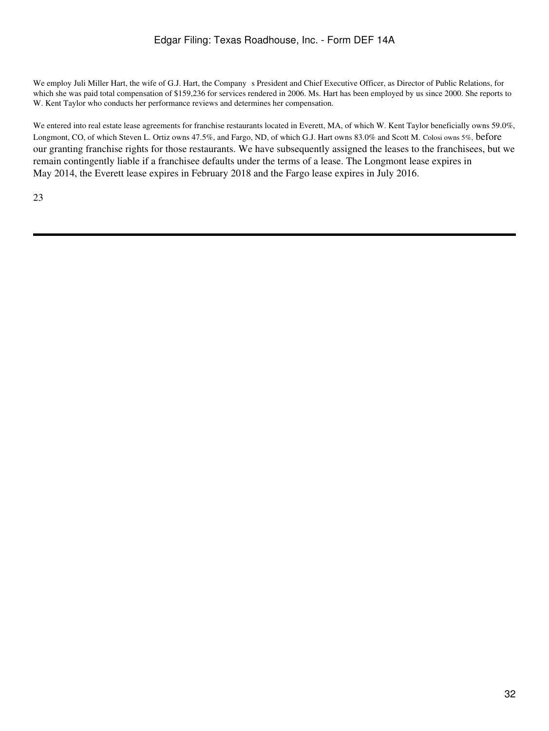We employ Juli Miller Hart, the wife of G.J. Hart, the Company s President and Chief Executive Officer, as Director of Public Relations, for which she was paid total compensation of \$159,236 for services rendered in 2006. Ms. Hart has been employed by us since 2000. She reports to W. Kent Taylor who conducts her performance reviews and determines her compensation.

We entered into real estate lease agreements for franchise restaurants located in Everett, MA, of which W. Kent Taylor beneficially owns 59.0%, Longmont, CO, of which Steven L. Ortiz owns 47.5%, and Fargo, ND, of which G.J. Hart owns 83.0% and Scott M. Colosi owns 5%, before our granting franchise rights for those restaurants. We have subsequently assigned the leases to the franchisees, but we remain contingently liable if a franchisee defaults under the terms of a lease. The Longmont lease expires in May 2014, the Everett lease expires in February 2018 and the Fargo lease expires in July 2016.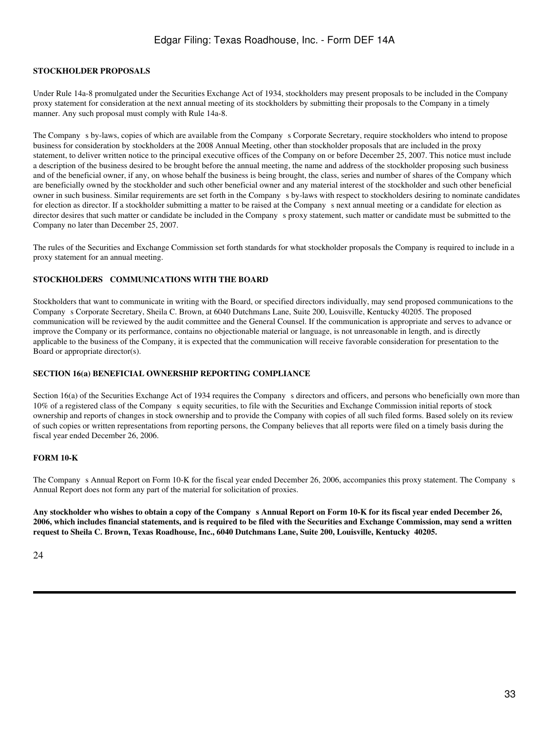#### **STOCKHOLDER PROPOSALS**

Under Rule 14a-8 promulgated under the Securities Exchange Act of 1934, stockholders may present proposals to be included in the Company proxy statement for consideration at the next annual meeting of its stockholders by submitting their proposals to the Company in a timely manner. Any such proposal must comply with Rule 14a-8.

The Company s by-laws, copies of which are available from the Company s Corporate Secretary, require stockholders who intend to propose business for consideration by stockholders at the 2008 Annual Meeting, other than stockholder proposals that are included in the proxy statement, to deliver written notice to the principal executive offices of the Company on or before December 25, 2007. This notice must include a description of the business desired to be brought before the annual meeting, the name and address of the stockholder proposing such business and of the beneficial owner, if any, on whose behalf the business is being brought, the class, series and number of shares of the Company which are beneficially owned by the stockholder and such other beneficial owner and any material interest of the stockholder and such other beneficial owner in such business. Similar requirements are set forth in the Companys by-laws with respect to stockholders desiring to nominate candidates for election as director. If a stockholder submitting a matter to be raised at the Companys next annual meeting or a candidate for election as director desires that such matter or candidate be included in the Company s proxy statement, such matter or candidate must be submitted to the Company no later than December 25, 2007.

The rules of the Securities and Exchange Commission set forth standards for what stockholder proposals the Company is required to include in a proxy statement for an annual meeting.

## **STOCKHOLDERS COMMUNICATIONS WITH THE BOARD**

Stockholders that want to communicate in writing with the Board, or specified directors individually, may send proposed communications to the Companys Corporate Secretary, Sheila C. Brown, at 6040 Dutchmans Lane, Suite 200, Louisville, Kentucky 40205. The proposed communication will be reviewed by the audit committee and the General Counsel. If the communication is appropriate and serves to advance or improve the Company or its performance, contains no objectionable material or language, is not unreasonable in length, and is directly applicable to the business of the Company, it is expected that the communication will receive favorable consideration for presentation to the Board or appropriate director(s).

#### **SECTION 16(a) BENEFICIAL OWNERSHIP REPORTING COMPLIANCE**

Section 16(a) of the Securities Exchange Act of 1934 requires the Company s directors and officers, and persons who beneficially own more than 10% of a registered class of the Companys equity securities, to file with the Securities and Exchange Commission initial reports of stock ownership and reports of changes in stock ownership and to provide the Company with copies of all such filed forms. Based solely on its review of such copies or written representations from reporting persons, the Company believes that all reports were filed on a timely basis during the fiscal year ended December 26, 2006.

#### **FORM 10-K**

The Company s Annual Report on Form 10-K for the fiscal year ended December 26, 2006, accompanies this proxy statement. The Company s Annual Report does not form any part of the material for solicitation of proxies.

**Any stockholder who wishes to obtain a copy of the Companys Annual Report on Form 10-K for its fiscal year ended December 26, 2006, which includes financial statements, and is required to be filed with the Securities and Exchange Commission, may send a written request to Sheila C. Brown, Texas Roadhouse, Inc., 6040 Dutchmans Lane, Suite 200, Louisville, Kentucky 40205.**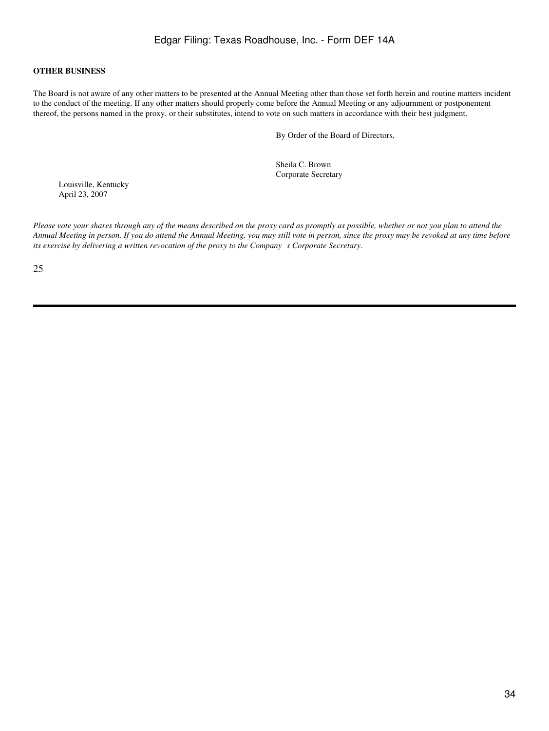#### **OTHER BUSINESS**

The Board is not aware of any other matters to be presented at the Annual Meeting other than those set forth herein and routine matters incident to the conduct of the meeting. If any other matters should properly come before the Annual Meeting or any adjournment or postponement thereof, the persons named in the proxy, or their substitutes, intend to vote on such matters in accordance with their best judgment.

By Order of the Board of Directors,

Sheila C. Brown Corporate Secretary

Louisville, Kentucky April 23, 2007

*Please vote your shares through any of the means described on the proxy card as promptly as possible, whether or not you plan to attend the Annual Meeting in person. If you do attend the Annual Meeting, you may still vote in person, since the proxy may be revoked at any time before its exercise by delivering a written revocation of the proxy to the Companys Corporate Secretary.*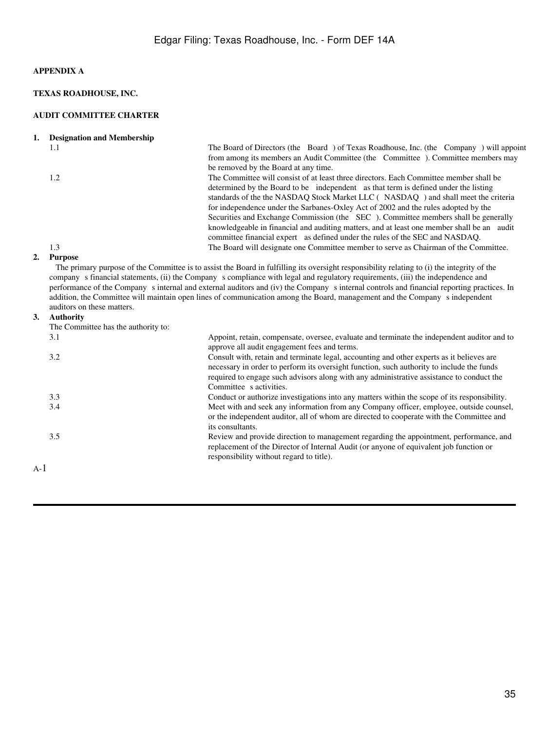## **APPENDIX A**

## **TEXAS ROADHOUSE, INC.**

#### **AUDIT COMMITTEE CHARTER**

| ı. |  |  | <b>Designation and Membership</b> |
|----|--|--|-----------------------------------|
|----|--|--|-----------------------------------|

|    | 1.1     | The Board of Directors (the Board) of Texas Roadhouse, Inc. (the Company) will appoint                                                      |
|----|---------|---------------------------------------------------------------------------------------------------------------------------------------------|
|    |         | from among its members an Audit Committee (the Committee). Committee members may                                                            |
|    |         | be removed by the Board at any time.                                                                                                        |
|    | 1.2     | The Committee will consist of at least three directors. Each Committee member shall be                                                      |
|    |         | determined by the Board to be independent as that term is defined under the listing                                                         |
|    |         | standards of the the NASDAQ Stock Market LLC (NASDAQ) and shall meet the criteria                                                           |
|    |         | for independence under the Sarbanes-Oxley Act of 2002 and the rules adopted by the                                                          |
|    |         | Securities and Exchange Commission (the SEC). Committee members shall be generally                                                          |
|    |         | knowledgeable in financial and auditing matters, and at least one member shall be an audit                                                  |
|    |         | committee financial expert as defined under the rules of the SEC and NASDAQ.                                                                |
|    | 1.3     | The Board will designate one Committee member to serve as Chairman of the Committee.                                                        |
| 2. | Purpose |                                                                                                                                             |
|    |         | The primary purpose of the Committee is to assist the Board in fulfilling its oversight responsibility relating to (i) the integrity of the |

 The primary purpose of the Committee is to assist the Board in fulfilling its oversight responsibility relating to (i) the integrity of the company s financial statements, (ii) the Company s compliance with legal and regulatory requirements, (iii) the independence and performance of the Company s internal and external auditors and (iv) the Company s internal controls and financial reporting practices. In addition, the Committee will maintain open lines of communication among the Board, management and the Company s independent auditors on these matters.

#### **3. Authority**

|       | Authority                           |                                                                                                                                                                                                                                                                                                               |
|-------|-------------------------------------|---------------------------------------------------------------------------------------------------------------------------------------------------------------------------------------------------------------------------------------------------------------------------------------------------------------|
|       | The Committee has the authority to: |                                                                                                                                                                                                                                                                                                               |
|       | 3.1                                 | Appoint, retain, compensate, oversee, evaluate and terminate the independent auditor and to<br>approve all audit engagement fees and terms.                                                                                                                                                                   |
|       | 3.2                                 | Consult with, retain and terminate legal, accounting and other experts as it believes are<br>necessary in order to perform its oversight function, such authority to include the funds<br>required to engage such advisors along with any administrative assistance to conduct the<br>Committee s activities. |
|       | 3.3                                 | Conduct or authorize investigations into any matters within the scope of its responsibility.                                                                                                                                                                                                                  |
|       | 3.4                                 | Meet with and seek any information from any Company officer, employee, outside counsel,<br>or the independent auditor, all of whom are directed to cooperate with the Committee and<br>its consultants.                                                                                                       |
|       | 3.5                                 | Review and provide direction to management regarding the appointment, performance, and<br>replacement of the Director of Internal Audit (or anyone of equivalent job function or<br>responsibility without regard to title).                                                                                  |
| $A-1$ |                                     |                                                                                                                                                                                                                                                                                                               |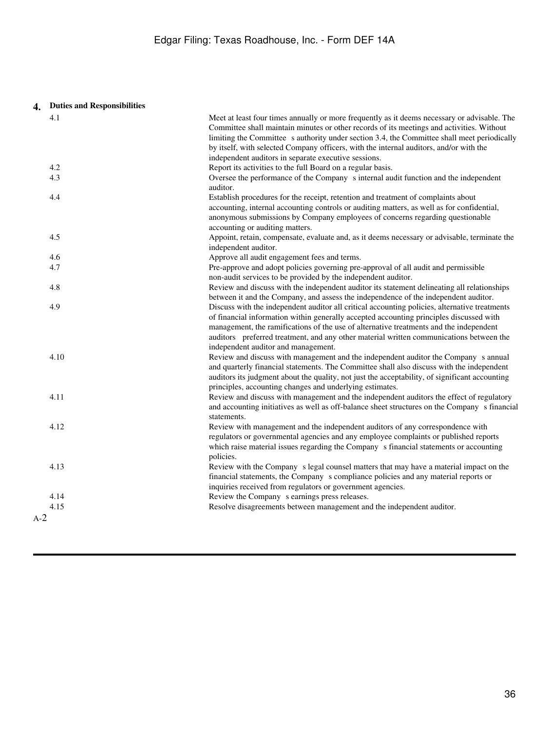# **4. Duties and Responsibilities**

| 4.1   | Meet at least four times annually or more frequently as it deems necessary or advisable. The                                                                                             |
|-------|------------------------------------------------------------------------------------------------------------------------------------------------------------------------------------------|
|       | Committee shall maintain minutes or other records of its meetings and activities. Without<br>limiting the Committee s authority under section 3.4, the Committee shall meet periodically |
|       | by itself, with selected Company officers, with the internal auditors, and/or with the                                                                                                   |
|       | independent auditors in separate executive sessions.                                                                                                                                     |
| 4.2   | Report its activities to the full Board on a regular basis.                                                                                                                              |
| 4.3   | Oversee the performance of the Company s internal audit function and the independent                                                                                                     |
|       | auditor.                                                                                                                                                                                 |
| 4.4   | Establish procedures for the receipt, retention and treatment of complaints about                                                                                                        |
|       | accounting, internal accounting controls or auditing matters, as well as for confidential,                                                                                               |
|       | anonymous submissions by Company employees of concerns regarding questionable                                                                                                            |
|       | accounting or auditing matters.                                                                                                                                                          |
| 4.5   | Appoint, retain, compensate, evaluate and, as it deems necessary or advisable, terminate the                                                                                             |
|       | independent auditor.                                                                                                                                                                     |
| 4.6   | Approve all audit engagement fees and terms.                                                                                                                                             |
| 4.7   | Pre-approve and adopt policies governing pre-approval of all audit and permissible                                                                                                       |
|       | non-audit services to be provided by the independent auditor.                                                                                                                            |
| 4.8   | Review and discuss with the independent auditor its statement delineating all relationships                                                                                              |
| 4.9   | between it and the Company, and assess the independence of the independent auditor.<br>Discuss with the independent auditor all critical accounting policies, alternative treatments     |
|       | of financial information within generally accepted accounting principles discussed with                                                                                                  |
|       | management, the ramifications of the use of alternative treatments and the independent                                                                                                   |
|       | auditors preferred treatment, and any other material written communications between the                                                                                                  |
|       | independent auditor and management.                                                                                                                                                      |
| 4.10  | Review and discuss with management and the independent auditor the Company s annual                                                                                                      |
|       | and quarterly financial statements. The Committee shall also discuss with the independent                                                                                                |
|       | auditors its judgment about the quality, not just the acceptability, of significant accounting                                                                                           |
|       | principles, accounting changes and underlying estimates.                                                                                                                                 |
| 4.11  | Review and discuss with management and the independent auditors the effect of regulatory                                                                                                 |
|       | and accounting initiatives as well as off-balance sheet structures on the Company s financial                                                                                            |
|       | statements.                                                                                                                                                                              |
| 4.12  | Review with management and the independent auditors of any correspondence with                                                                                                           |
|       | regulators or governmental agencies and any employee complaints or published reports                                                                                                     |
|       | which raise material issues regarding the Company s financial statements or accounting                                                                                                   |
|       | policies.                                                                                                                                                                                |
| 4.13  | Review with the Company s legal counsel matters that may have a material impact on the<br>financial statements, the Company s compliance policies and any material reports or            |
|       | inquiries received from regulators or government agencies.                                                                                                                               |
| 4.14  | Review the Company s earnings press releases.                                                                                                                                            |
| 4.15  | Resolve disagreements between management and the independent auditor.                                                                                                                    |
| $A-2$ |                                                                                                                                                                                          |
|       |                                                                                                                                                                                          |
|       |                                                                                                                                                                                          |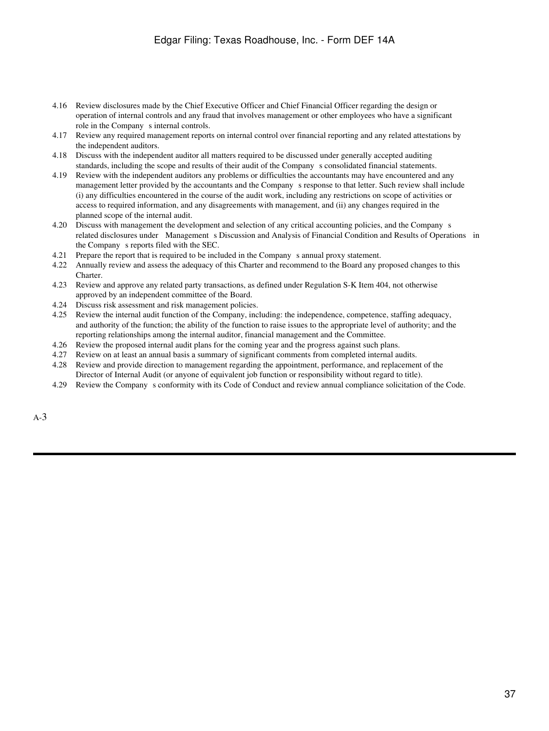- 4.16 Review disclosures made by the Chief Executive Officer and Chief Financial Officer regarding the design or operation of internal controls and any fraud that involves management or other employees who have a significant role in the Company s internal controls.
- 4.17 Review any required management reports on internal control over financial reporting and any related attestations by the independent auditors.
- 4.18 Discuss with the independent auditor all matters required to be discussed under generally accepted auditing standards, including the scope and results of their audit of the Companys consolidated financial statements.
- 4.19 Review with the independent auditors any problems or difficulties the accountants may have encountered and any management letter provided by the accountants and the Companys response to that letter. Such review shall include (i) any difficulties encountered in the course of the audit work, including any restrictions on scope of activities or access to required information, and any disagreements with management, and (ii) any changes required in the planned scope of the internal audit.
- 4.20 Discuss with management the development and selection of any critical accounting policies, and the Companys related disclosures under Management s Discussion and Analysis of Financial Condition and Results of Operations in the Company s reports filed with the SEC.
- 4.21 Prepare the report that is required to be included in the Companys annual proxy statement.
- 4.22 Annually review and assess the adequacy of this Charter and recommend to the Board any proposed changes to this Charter.
- 4.23 Review and approve any related party transactions, as defined under Regulation S-K Item 404, not otherwise approved by an independent committee of the Board.
- 4.24 Discuss risk assessment and risk management policies.
- 4.25 Review the internal audit function of the Company, including: the independence, competence, staffing adequacy, and authority of the function; the ability of the function to raise issues to the appropriate level of authority; and the reporting relationships among the internal auditor, financial management and the Committee.
- 4.26 Review the proposed internal audit plans for the coming year and the progress against such plans.
- 4.27 Review on at least an annual basis a summary of significant comments from completed internal audits.
- 4.28 Review and provide direction to management regarding the appointment, performance, and replacement of the Director of Internal Audit (or anyone of equivalent job function or responsibility without regard to title).
- 4.29 Review the Companys conformity with its Code of Conduct and review annual compliance solicitation of the Code.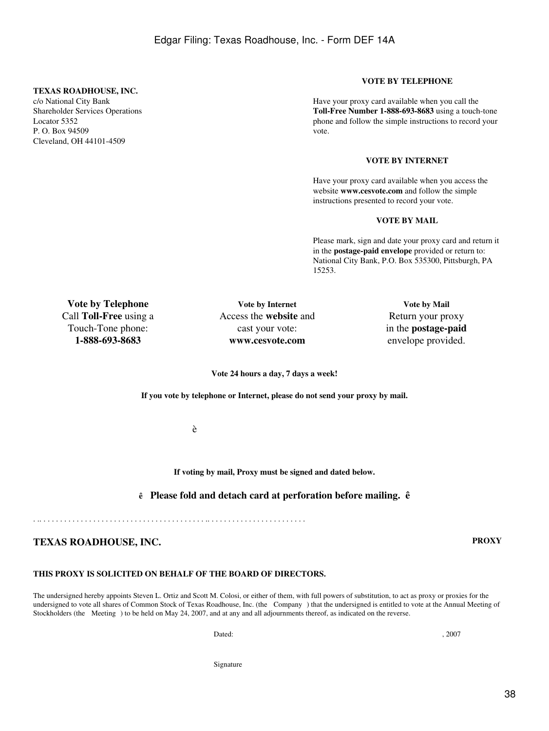#### **TEXAS ROADHOUSE, INC.**

c/o National City Bank Shareholder Services Operations Locator 5352 P. O. Box 94509 Cleveland, OH 44101-4509

### **VOTE BY TELEPHONE**

Have your proxy card available when you call the **Toll-Free Number 1-888-693-8683** using a touch-tone phone and follow the simple instructions to record your vote.

#### **VOTE BY INTERNET**

Have your proxy card available when you access the website **www.cesvote.com** and follow the simple instructions presented to record your vote.

#### **VOTE BY MAIL**

Please mark, sign and date your proxy card and return it in the **postage-paid envelope** provided or return to: National City Bank, P.O. Box 535300, Pittsburgh, PA 15253.

**Vote by Telephone** Call **Toll-Free** using a Touch-Tone phone: **1-888-693-8683**

**Vote by Internet** Access the **website** and cast your vote: **www.cesvote.com**

**Vote by Mail** Return your proxy in the **postage-paid** envelope provided.

**Vote 24 hours a day, 7 days a week!**

**If you vote by telephone or Internet, please do not send your proxy by mail.**

è

**If voting by mail, Proxy must be signed and dated below.**

**ê Please fold and detach card at perforation before mailing. ê**

. .. . . . . . . . . . . . . . . . . . . . . . . . . . . . . . . . . . . . . . . . .. . . . . . . . . . . . . . . . . . . . . . . .

## **TEXAS ROADHOUSE, INC. PROXY**

## **THIS PROXY IS SOLICITED ON BEHALF OF THE BOARD OF DIRECTORS.**

The undersigned hereby appoints Steven L. Ortiz and Scott M. Colosi, or either of them, with full powers of substitution, to act as proxy or proxies for the undersigned to vote all shares of Common Stock of Texas Roadhouse, Inc. (the Company) that the undersigned is entitled to vote at the Annual Meeting of Stockholders (the Meeting) to be held on May 24, 2007, and at any and all adjournments thereof, as indicated on the reverse.

Dated:  $, 2007$ 

Signature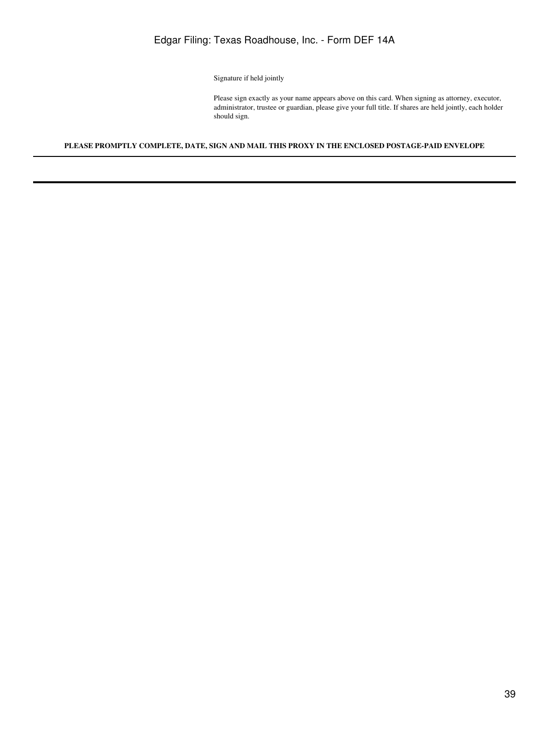Signature if held jointly

Please sign exactly as your name appears above on this card. When signing as attorney, executor, administrator, trustee or guardian, please give your full title. If shares are held jointly, each holder should sign.

### **PLEASE PROMPTLY COMPLETE, DATE, SIGN AND MAIL THIS PROXY IN THE ENCLOSED POSTAGE-PAID ENVELOPE**